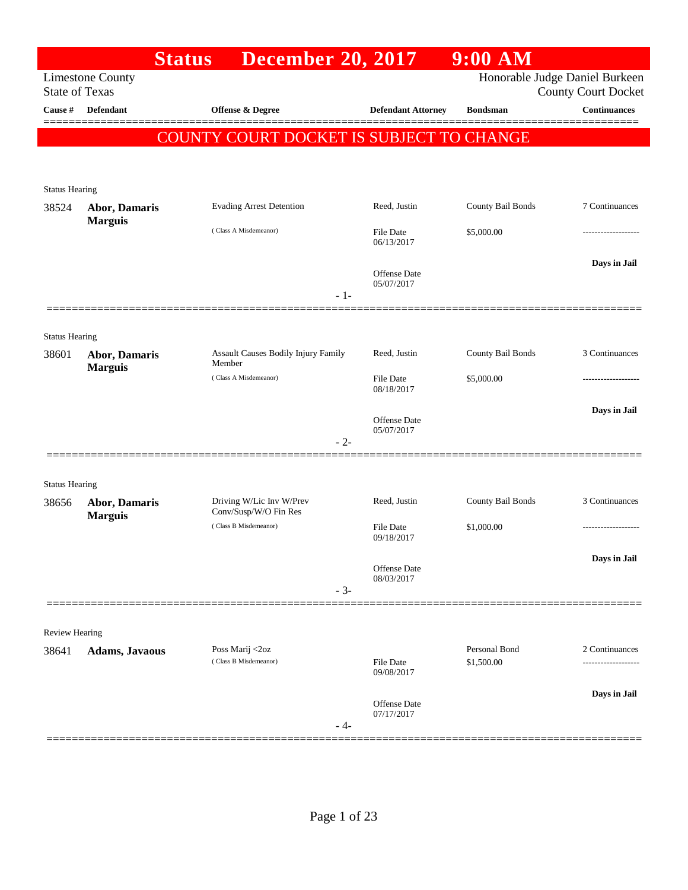|                                |                         | <b>Status</b>                                     | <b>December 20, 2017</b> |                                | $9:00$ AM         |                                                              |
|--------------------------------|-------------------------|---------------------------------------------------|--------------------------|--------------------------------|-------------------|--------------------------------------------------------------|
| <b>State of Texas</b>          | <b>Limestone County</b> |                                                   |                          |                                |                   | Honorable Judge Daniel Burkeen<br><b>County Court Docket</b> |
| Cause #                        | <b>Defendant</b>        | Offense & Degree                                  |                          | <b>Defendant Attorney</b>      | <b>Bondsman</b>   | <b>Continuances</b>                                          |
|                                |                         | COUNTY COURT DOCKET IS SUBJECT TO CHANGE          |                          |                                |                   |                                                              |
|                                |                         |                                                   |                          |                                |                   |                                                              |
| <b>Status Hearing</b>          |                         |                                                   |                          |                                |                   |                                                              |
| 38524                          | Abor, Damaris           | <b>Evading Arrest Detention</b>                   |                          | Reed, Justin                   | County Bail Bonds | 7 Continuances                                               |
|                                | <b>Marguis</b>          | (Class A Misdemeanor)                             |                          | <b>File Date</b><br>06/13/2017 | \$5,000.00        |                                                              |
|                                |                         |                                                   | $-1-$                    | Offense Date<br>05/07/2017     |                   | Days in Jail                                                 |
|                                |                         |                                                   |                          |                                |                   |                                                              |
| <b>Status Hearing</b><br>38601 | <b>Abor, Damaris</b>    | Assault Causes Bodily Injury Family<br>Member     |                          | Reed, Justin                   | County Bail Bonds | 3 Continuances                                               |
|                                | <b>Marguis</b>          | (Class A Misdemeanor)                             |                          | <b>File Date</b><br>08/18/2017 | \$5,000.00        |                                                              |
|                                |                         |                                                   | $-2-$                    | Offense Date<br>05/07/2017     |                   | Days in Jail                                                 |
|                                |                         |                                                   |                          |                                |                   |                                                              |
| <b>Status Hearing</b><br>38656 | <b>Abor, Damaris</b>    | Driving W/Lic Inv W/Prev<br>Conv/Susp/W/O Fin Res |                          | Reed, Justin                   | County Bail Bonds | 3 Continuances                                               |
|                                | <b>Marguis</b>          | (Class B Misdemeanor)                             |                          | <b>File Date</b><br>09/18/2017 | \$1,000.00        | ----------------                                             |
|                                |                         |                                                   | $-3-$                    | Offense Date<br>08/03/2017     |                   | Days in Jail                                                 |
|                                |                         |                                                   |                          |                                |                   |                                                              |
| <b>Review Hearing</b>          |                         | Poss Marij <2oz                                   |                          |                                | Personal Bond     | 2 Continuances                                               |
| 38641                          | <b>Adams, Javaous</b>   | (Class B Misdemeanor)                             |                          | <b>File Date</b><br>09/08/2017 | \$1,500.00        |                                                              |
|                                |                         |                                                   | - 4-                     | Offense Date<br>07/17/2017     |                   | Days in Jail                                                 |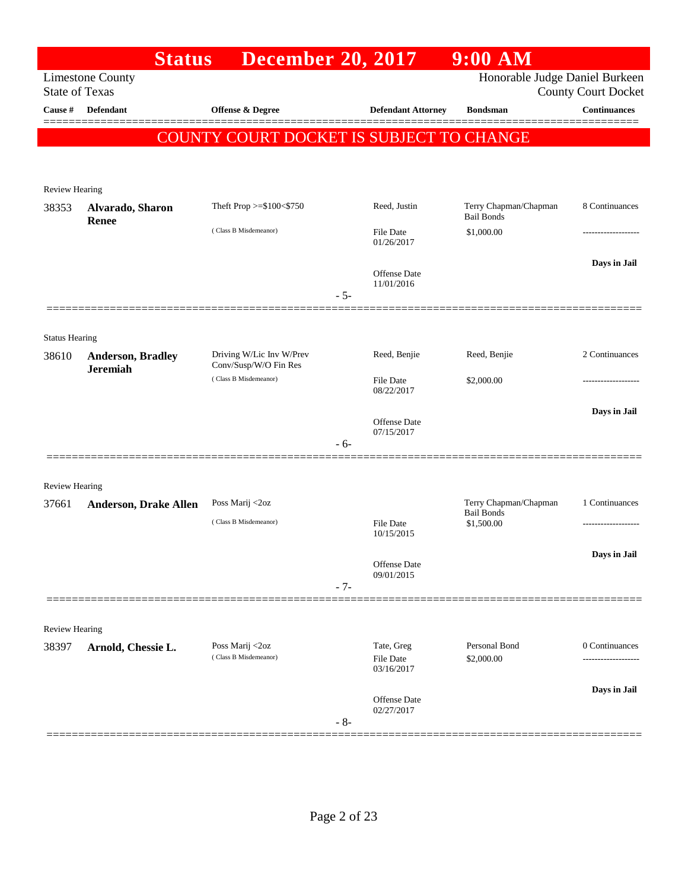|                       | <b>Status</b>                               | <b>December 20, 2017</b>                          |                                       | $9:00$ AM                                  |                                       |
|-----------------------|---------------------------------------------|---------------------------------------------------|---------------------------------------|--------------------------------------------|---------------------------------------|
| <b>State of Texas</b> | <b>Limestone County</b>                     |                                                   |                                       | Honorable Judge Daniel Burkeen             | <b>County Court Docket</b>            |
| Cause #               | <b>Defendant</b>                            | Offense & Degree                                  | <b>Defendant Attorney</b>             | <b>Bondsman</b>                            | <b>Continuances</b>                   |
|                       |                                             | COUNTY COURT DOCKET IS SUBJECT TO CHANGE          |                                       |                                            |                                       |
|                       |                                             |                                                   |                                       |                                            |                                       |
| <b>Review Hearing</b> |                                             |                                                   |                                       |                                            |                                       |
| 38353                 | Alvarado, Sharon<br>Renee                   | Theft Prop >=\$100<\$750                          | Reed, Justin                          | Terry Chapman/Chapman<br><b>Bail Bonds</b> | 8 Continuances                        |
|                       |                                             | (Class B Misdemeanor)                             | File Date<br>01/26/2017               | \$1,000.00                                 |                                       |
|                       |                                             | $-5-$                                             | Offense Date<br>11/01/2016            |                                            | Days in Jail                          |
|                       |                                             |                                                   |                                       |                                            |                                       |
| <b>Status Hearing</b> |                                             |                                                   |                                       |                                            |                                       |
| 38610                 | <b>Anderson, Bradley</b><br><b>Jeremiah</b> | Driving W/Lic Inv W/Prev<br>Conv/Susp/W/O Fin Res | Reed, Benjie                          | Reed, Benjie                               | 2 Continuances                        |
|                       |                                             | (Class B Misdemeanor)                             | File Date<br>08/22/2017               | \$2,000.00                                 |                                       |
|                       |                                             |                                                   | Offense Date                          |                                            | Days in Jail                          |
|                       |                                             | $-6-$                                             | 07/15/2017                            |                                            |                                       |
| <b>Review Hearing</b> |                                             |                                                   |                                       |                                            |                                       |
| 37661                 | <b>Anderson, Drake Allen</b>                | Poss Marij <2oz                                   |                                       | Terry Chapman/Chapman                      | 1 Continuances                        |
|                       |                                             | (Class B Misdemeanor)                             | File Date<br>10/15/2015               | <b>Bail Bonds</b><br>\$1,500.00            | -------------------                   |
|                       |                                             |                                                   |                                       |                                            | Days in Jail                          |
|                       |                                             | $-7-$                                             | Offense Date<br>09/01/2015            |                                            |                                       |
|                       |                                             |                                                   |                                       |                                            |                                       |
| Review Hearing        |                                             |                                                   |                                       |                                            |                                       |
| 38397                 | Arnold, Chessie L.                          | Poss Marij <2oz<br>(Class B Misdemeanor)          | Tate, Greg<br>File Date<br>03/16/2017 | Personal Bond<br>\$2,000.00                | 0 Continuances<br>------------------- |
|                       |                                             |                                                   | Offense Date                          |                                            | Days in Jail                          |
|                       |                                             | $-8-$                                             | 02/27/2017                            |                                            |                                       |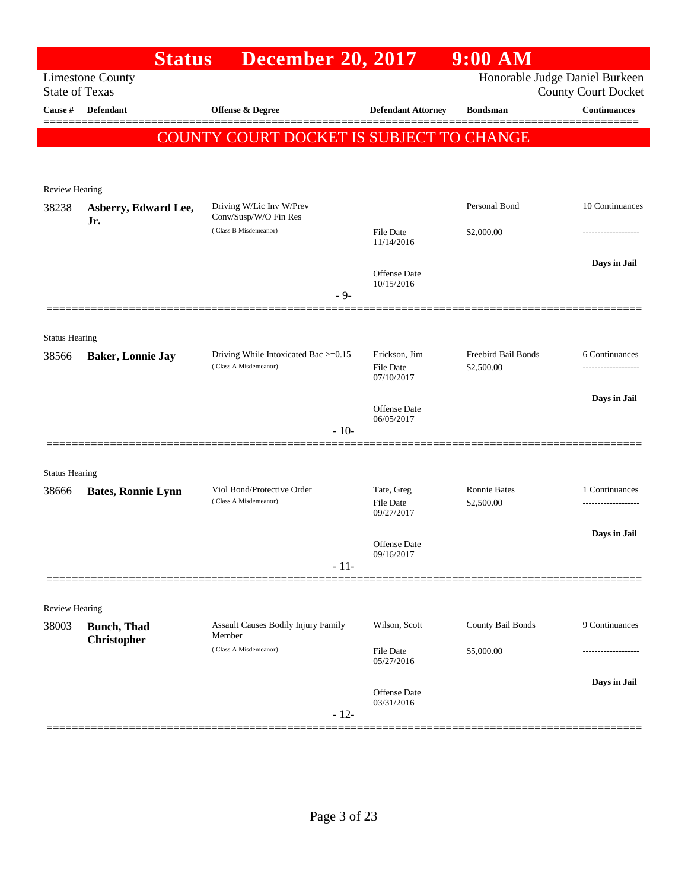|                                         | <b>Status</b>             | <b>December 20, 2017</b>                                      |                                   | $9:00$ AM           |                                            |
|-----------------------------------------|---------------------------|---------------------------------------------------------------|-----------------------------------|---------------------|--------------------------------------------|
|                                         | <b>Limestone County</b>   |                                                               |                                   |                     | Honorable Judge Daniel Burkeen             |
| <b>State of Texas</b><br><b>Cause</b> # | <b>Defendant</b>          | Offense & Degree                                              | <b>Defendant Attorney</b>         | <b>Bondsman</b>     | <b>County Court Docket</b><br>Continuances |
|                                         |                           |                                                               |                                   |                     |                                            |
|                                         |                           | <b>COUNTY COURT DOCKET IS SUBJECT TO CHANGE</b>               |                                   |                     |                                            |
|                                         |                           |                                                               |                                   |                     |                                            |
| Review Hearing                          |                           |                                                               |                                   |                     |                                            |
| 38238                                   | Asberry, Edward Lee,      | Driving W/Lic Inv W/Prev                                      |                                   | Personal Bond       | 10 Continuances                            |
|                                         | Jr.                       | Conv/Susp/W/O Fin Res<br>(Class B Misdemeanor)                | <b>File Date</b>                  | \$2,000.00          |                                            |
|                                         |                           |                                                               | 11/14/2016                        |                     |                                            |
|                                         |                           |                                                               | Offense Date                      |                     | Days in Jail                               |
|                                         |                           |                                                               | 10/15/2016                        |                     |                                            |
|                                         |                           | $-9-$                                                         |                                   |                     |                                            |
|                                         |                           |                                                               |                                   |                     |                                            |
| <b>Status Hearing</b>                   |                           |                                                               |                                   | Freebird Bail Bonds |                                            |
| 38566                                   | <b>Baker, Lonnie Jay</b>  | Driving While Intoxicated Bac >=0.15<br>(Class A Misdemeanor) | Erickson, Jim<br><b>File Date</b> | \$2,500.00          | 6 Continuances                             |
|                                         |                           |                                                               | 07/10/2017                        |                     |                                            |
|                                         |                           |                                                               | Offense Date                      |                     | Days in Jail                               |
|                                         |                           | $-10-$                                                        | 06/05/2017                        |                     |                                            |
|                                         |                           |                                                               |                                   |                     |                                            |
| <b>Status Hearing</b>                   |                           |                                                               |                                   |                     |                                            |
| 38666                                   | <b>Bates, Ronnie Lynn</b> | Viol Bond/Protective Order                                    | Tate, Greg                        | <b>Ronnie Bates</b> | 1 Continuances                             |
|                                         |                           | (Class A Misdemeanor)                                         | <b>File Date</b><br>09/27/2017    | \$2,500.00          |                                            |
|                                         |                           |                                                               |                                   |                     | Days in Jail                               |
|                                         |                           |                                                               | Offense Date                      |                     |                                            |
|                                         |                           | $-11-$                                                        | 09/16/2017                        |                     |                                            |
|                                         |                           |                                                               |                                   |                     |                                            |
| <b>Review Hearing</b>                   |                           |                                                               |                                   |                     |                                            |
| 38003                                   | <b>Bunch</b> , Thad       | Assault Causes Bodily Injury Family                           | Wilson, Scott                     | County Bail Bonds   | 9 Continuances                             |
|                                         | Christopher               | Member<br>(Class A Misdemeanor)                               | File Date                         | \$5,000.00          |                                            |
|                                         |                           |                                                               | 05/27/2016                        |                     |                                            |
|                                         |                           |                                                               | <b>Offense Date</b>               |                     | Days in Jail                               |
|                                         |                           |                                                               | 03/31/2016                        |                     |                                            |
|                                         |                           | $-12-$                                                        |                                   |                     |                                            |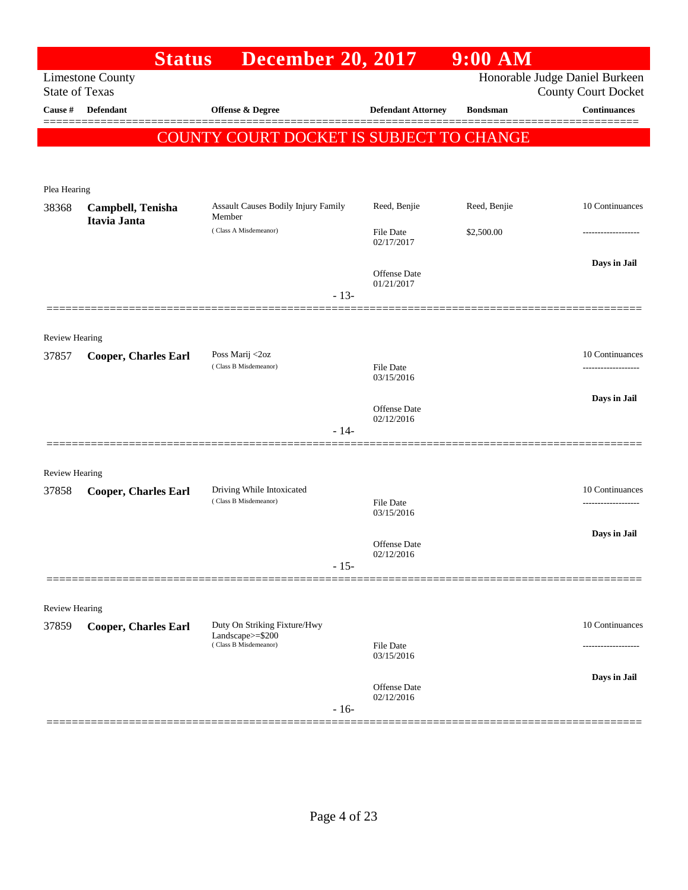| <b>Limestone County</b><br><b>State of Texas</b><br>Cause #<br><b>Defendant</b><br>Offense & Degree<br><b>Bondsman</b><br><b>Defendant Attorney</b><br>COUNTY COURT DOCKET IS SUBJECT TO CHANGE<br>Plea Hearing<br><b>Assault Causes Bodily Injury Family</b><br>Reed, Benjie<br>Reed, Benjie<br>38368<br>Campbell, Tenisha<br>Member<br>Itavia Janta<br>(Class A Misdemeanor)<br>\$2,500.00<br><b>File Date</b><br>02/17/2017<br>Offense Date<br>01/21/2017<br>$-13-$<br>Review Hearing<br>Poss Marij <2oz<br>37857<br><b>Cooper, Charles Earl</b><br>(Class B Misdemeanor)<br><b>File Date</b><br>03/15/2016<br>Offense Date<br>02/12/2016<br>$-14-$<br><b>Review Hearing</b><br>Driving While Intoxicated<br>37858<br><b>Cooper, Charles Earl</b><br>(Class B Misdemeanor)<br><b>File Date</b><br>03/15/2016<br>Offense Date<br>02/12/2016<br>$-15-$<br><b>Review Hearing</b><br>Duty On Striking Fixture/Hwy<br>37859<br><b>Cooper, Charles Earl</b><br>Landscape>=\$200<br>(Class B Misdemeanor)<br><b>File Date</b><br>03/15/2016 | <b>Status</b><br><b>December 20, 2017</b> | 9:00 AM |                                                              |
|-----------------------------------------------------------------------------------------------------------------------------------------------------------------------------------------------------------------------------------------------------------------------------------------------------------------------------------------------------------------------------------------------------------------------------------------------------------------------------------------------------------------------------------------------------------------------------------------------------------------------------------------------------------------------------------------------------------------------------------------------------------------------------------------------------------------------------------------------------------------------------------------------------------------------------------------------------------------------------------------------------------------------------------------|-------------------------------------------|---------|--------------------------------------------------------------|
|                                                                                                                                                                                                                                                                                                                                                                                                                                                                                                                                                                                                                                                                                                                                                                                                                                                                                                                                                                                                                                         |                                           |         | Honorable Judge Daniel Burkeen<br><b>County Court Docket</b> |
|                                                                                                                                                                                                                                                                                                                                                                                                                                                                                                                                                                                                                                                                                                                                                                                                                                                                                                                                                                                                                                         |                                           |         | <b>Continuances</b>                                          |
|                                                                                                                                                                                                                                                                                                                                                                                                                                                                                                                                                                                                                                                                                                                                                                                                                                                                                                                                                                                                                                         |                                           |         |                                                              |
|                                                                                                                                                                                                                                                                                                                                                                                                                                                                                                                                                                                                                                                                                                                                                                                                                                                                                                                                                                                                                                         |                                           |         |                                                              |
|                                                                                                                                                                                                                                                                                                                                                                                                                                                                                                                                                                                                                                                                                                                                                                                                                                                                                                                                                                                                                                         |                                           |         |                                                              |
|                                                                                                                                                                                                                                                                                                                                                                                                                                                                                                                                                                                                                                                                                                                                                                                                                                                                                                                                                                                                                                         |                                           |         | 10 Continuances                                              |
|                                                                                                                                                                                                                                                                                                                                                                                                                                                                                                                                                                                                                                                                                                                                                                                                                                                                                                                                                                                                                                         |                                           |         |                                                              |
|                                                                                                                                                                                                                                                                                                                                                                                                                                                                                                                                                                                                                                                                                                                                                                                                                                                                                                                                                                                                                                         |                                           |         | Days in Jail                                                 |
|                                                                                                                                                                                                                                                                                                                                                                                                                                                                                                                                                                                                                                                                                                                                                                                                                                                                                                                                                                                                                                         |                                           |         |                                                              |
|                                                                                                                                                                                                                                                                                                                                                                                                                                                                                                                                                                                                                                                                                                                                                                                                                                                                                                                                                                                                                                         |                                           |         | 10 Continuances                                              |
|                                                                                                                                                                                                                                                                                                                                                                                                                                                                                                                                                                                                                                                                                                                                                                                                                                                                                                                                                                                                                                         |                                           |         |                                                              |
|                                                                                                                                                                                                                                                                                                                                                                                                                                                                                                                                                                                                                                                                                                                                                                                                                                                                                                                                                                                                                                         |                                           |         | Days in Jail                                                 |
|                                                                                                                                                                                                                                                                                                                                                                                                                                                                                                                                                                                                                                                                                                                                                                                                                                                                                                                                                                                                                                         |                                           |         |                                                              |
|                                                                                                                                                                                                                                                                                                                                                                                                                                                                                                                                                                                                                                                                                                                                                                                                                                                                                                                                                                                                                                         |                                           |         |                                                              |
|                                                                                                                                                                                                                                                                                                                                                                                                                                                                                                                                                                                                                                                                                                                                                                                                                                                                                                                                                                                                                                         |                                           |         |                                                              |
|                                                                                                                                                                                                                                                                                                                                                                                                                                                                                                                                                                                                                                                                                                                                                                                                                                                                                                                                                                                                                                         |                                           |         | 10 Continuances                                              |
|                                                                                                                                                                                                                                                                                                                                                                                                                                                                                                                                                                                                                                                                                                                                                                                                                                                                                                                                                                                                                                         |                                           |         |                                                              |
|                                                                                                                                                                                                                                                                                                                                                                                                                                                                                                                                                                                                                                                                                                                                                                                                                                                                                                                                                                                                                                         |                                           |         | Days in Jail                                                 |
|                                                                                                                                                                                                                                                                                                                                                                                                                                                                                                                                                                                                                                                                                                                                                                                                                                                                                                                                                                                                                                         |                                           |         |                                                              |
|                                                                                                                                                                                                                                                                                                                                                                                                                                                                                                                                                                                                                                                                                                                                                                                                                                                                                                                                                                                                                                         |                                           |         |                                                              |
|                                                                                                                                                                                                                                                                                                                                                                                                                                                                                                                                                                                                                                                                                                                                                                                                                                                                                                                                                                                                                                         |                                           |         | 10 Continuances                                              |
|                                                                                                                                                                                                                                                                                                                                                                                                                                                                                                                                                                                                                                                                                                                                                                                                                                                                                                                                                                                                                                         |                                           |         |                                                              |
| Offense Date<br>02/12/2016<br>$-16-$                                                                                                                                                                                                                                                                                                                                                                                                                                                                                                                                                                                                                                                                                                                                                                                                                                                                                                                                                                                                    |                                           |         | Days in Jail                                                 |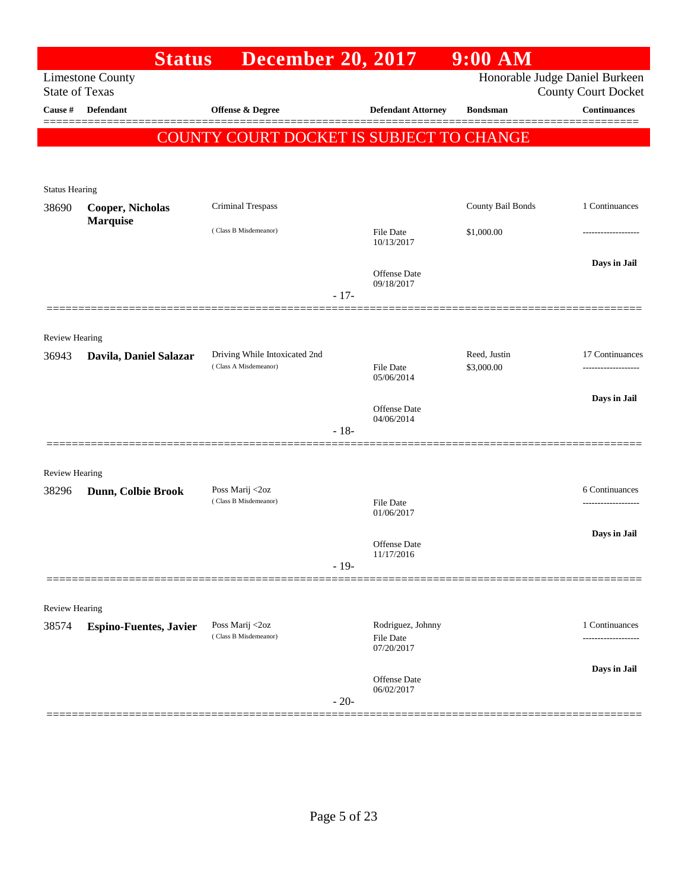|                       | <b>Status</b>                 | <b>December 20, 2017</b>                               |        |                                | $9:00$ AM         |                                                              |
|-----------------------|-------------------------------|--------------------------------------------------------|--------|--------------------------------|-------------------|--------------------------------------------------------------|
| <b>State of Texas</b> | <b>Limestone County</b>       |                                                        |        |                                |                   | Honorable Judge Daniel Burkeen<br><b>County Court Docket</b> |
| Cause #               | <b>Defendant</b>              | Offense & Degree                                       |        | <b>Defendant Attorney</b>      | <b>Bondsman</b>   | <b>Continuances</b>                                          |
|                       |                               | COUNTY COURT DOCKET IS SUBJECT TO CHANGE               |        |                                |                   | ======                                                       |
|                       |                               |                                                        |        |                                |                   |                                                              |
| <b>Status Hearing</b> |                               |                                                        |        |                                |                   |                                                              |
| 38690                 | <b>Cooper, Nicholas</b>       | Criminal Trespass                                      |        |                                | County Bail Bonds | 1 Continuances                                               |
|                       | <b>Marquise</b>               | (Class B Misdemeanor)                                  |        | File Date<br>10/13/2017        | \$1,000.00        |                                                              |
|                       |                               |                                                        |        | <b>Offense</b> Date            |                   | Days in Jail                                                 |
|                       |                               |                                                        | $-17-$ | 09/18/2017                     |                   |                                                              |
|                       |                               |                                                        |        |                                |                   |                                                              |
| Review Hearing        |                               |                                                        |        |                                | Reed, Justin      |                                                              |
| 36943                 | Davila, Daniel Salazar        | Driving While Intoxicated 2nd<br>(Class A Misdemeanor) |        | <b>File Date</b><br>05/06/2014 | \$3,000.00        | 17 Continuances<br>.                                         |
|                       |                               |                                                        |        | <b>Offense</b> Date            |                   | Days in Jail                                                 |
|                       |                               |                                                        | $-18-$ | 04/06/2014                     |                   |                                                              |
|                       |                               |                                                        |        |                                |                   |                                                              |
| <b>Review Hearing</b> |                               |                                                        |        |                                |                   |                                                              |
| 38296                 | Dunn, Colbie Brook            | Poss Marij <2oz<br>(Class B Misdemeanor)               |        | File Date                      |                   | 6 Continuances<br>----------------                           |
|                       |                               |                                                        |        | 01/06/2017                     |                   |                                                              |
|                       |                               |                                                        |        | Offense Date<br>11/17/2016     |                   | Days in Jail                                                 |
|                       |                               |                                                        | $-19-$ |                                |                   |                                                              |
| Review Hearing        |                               |                                                        |        |                                |                   |                                                              |
| 38574                 | <b>Espino-Fuentes, Javier</b> | Poss Marij <2oz<br>(Class B Misdemeanor)               |        | Rodriguez, Johnny              |                   | 1 Continuances                                               |
|                       |                               |                                                        |        | <b>File Date</b><br>07/20/2017 |                   | .                                                            |
|                       |                               |                                                        |        | <b>Offense</b> Date            |                   | Days in Jail                                                 |
|                       |                               |                                                        | $-20-$ | 06/02/2017                     |                   |                                                              |
|                       |                               |                                                        |        |                                |                   |                                                              |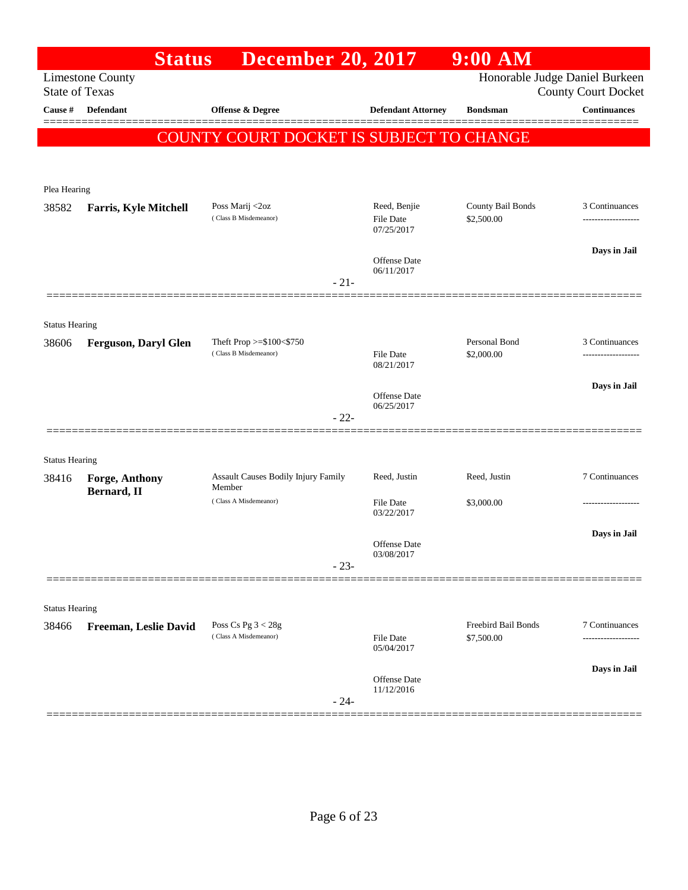|                       | <b>Status</b>                | <b>December 20, 2017</b>                 |                                  | $9:00$ AM                       |                                                              |
|-----------------------|------------------------------|------------------------------------------|----------------------------------|---------------------------------|--------------------------------------------------------------|
| <b>State of Texas</b> | <b>Limestone County</b>      |                                          |                                  |                                 | Honorable Judge Daniel Burkeen<br><b>County Court Docket</b> |
| Cause #               | <b>Defendant</b>             | <b>Offense &amp; Degree</b>              | <b>Defendant Attorney</b>        | <b>Bondsman</b>                 | <b>Continuances</b>                                          |
|                       |                              |                                          |                                  |                                 | ======                                                       |
|                       |                              | COUNTY COURT DOCKET IS SUBJECT TO CHANGE |                                  |                                 |                                                              |
|                       |                              |                                          |                                  |                                 |                                                              |
| Plea Hearing          |                              |                                          |                                  |                                 |                                                              |
| 38582                 | <b>Farris, Kyle Mitchell</b> | Poss Marij <2oz<br>(Class B Misdemeanor) | Reed, Benjie<br><b>File Date</b> | County Bail Bonds<br>\$2,500.00 | 3 Continuances<br>.                                          |
|                       |                              |                                          | 07/25/2017                       |                                 |                                                              |
|                       |                              |                                          | <b>Offense Date</b>              |                                 | Days in Jail                                                 |
|                       |                              | $-21-$                                   | 06/11/2017                       |                                 |                                                              |
|                       |                              |                                          |                                  |                                 |                                                              |
| <b>Status Hearing</b> |                              |                                          |                                  |                                 |                                                              |
| 38606                 | <b>Ferguson, Daryl Glen</b>  | Theft Prop $>=$ \$100 $<$ \$750          |                                  | Personal Bond                   | 3 Continuances                                               |
|                       |                              | (Class B Misdemeanor)                    | <b>File Date</b><br>08/21/2017   | \$2,000.00                      | .                                                            |
|                       |                              |                                          |                                  |                                 | Days in Jail                                                 |
|                       |                              |                                          | Offense Date<br>06/25/2017       |                                 |                                                              |
|                       |                              | $-22-$                                   |                                  |                                 |                                                              |
| <b>Status Hearing</b> |                              |                                          |                                  |                                 |                                                              |
| 38416                 | Forge, Anthony               | Assault Causes Bodily Injury Family      | Reed, Justin                     | Reed, Justin                    | 7 Continuances                                               |
|                       | Bernard, II                  | Member<br>(Class A Misdemeanor)          | <b>File Date</b>                 | \$3,000.00                      |                                                              |
|                       |                              |                                          | 03/22/2017                       |                                 |                                                              |
|                       |                              |                                          | <b>Offense</b> Date              |                                 | Days in Jail                                                 |
|                       |                              | $-23-$                                   | 03/08/2017                       |                                 |                                                              |
|                       |                              |                                          |                                  |                                 |                                                              |
| <b>Status Hearing</b> |                              |                                          |                                  |                                 |                                                              |
| 38466                 | Freeman, Leslie David        | Poss Cs Pg $3 < 28g$                     |                                  | Freebird Bail Bonds             | 7 Continuances                                               |
|                       |                              | (Class A Misdemeanor)                    | File Date<br>05/04/2017          | \$7,500.00                      | ---------                                                    |
|                       |                              |                                          |                                  |                                 | Days in Jail                                                 |
|                       |                              |                                          | Offense Date<br>11/12/2016       |                                 |                                                              |
|                       |                              | $-24-$                                   |                                  |                                 |                                                              |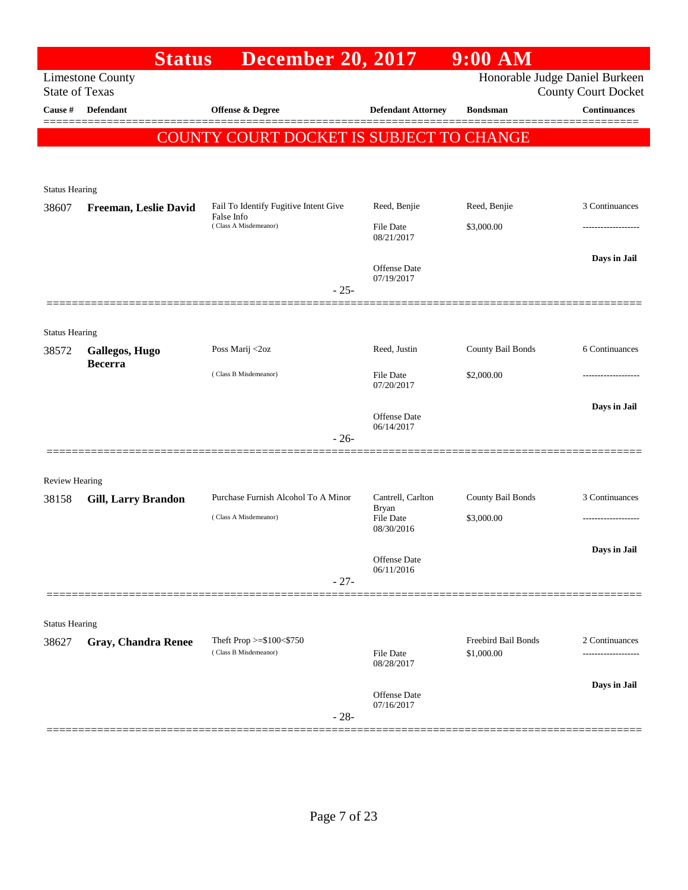|                                | <b>Status</b>              | <b>December 20, 2017</b>                 |                                | $9:00$ AM           |                                                              |
|--------------------------------|----------------------------|------------------------------------------|--------------------------------|---------------------|--------------------------------------------------------------|
| <b>State of Texas</b>          | <b>Limestone County</b>    |                                          |                                |                     | Honorable Judge Daniel Burkeen<br><b>County Court Docket</b> |
| Cause #                        | <b>Defendant</b>           | <b>Offense &amp; Degree</b>              | <b>Defendant Attorney</b>      | <b>Bondsman</b>     | <b>Continuances</b>                                          |
|                                |                            | COUNTY COURT DOCKET IS SUBJECT TO CHANGE |                                |                     |                                                              |
|                                |                            |                                          |                                |                     |                                                              |
| <b>Status Hearing</b>          |                            |                                          |                                |                     |                                                              |
| 38607                          | Freeman, Leslie David      | Fail To Identify Fugitive Intent Give    | Reed, Benjie                   | Reed, Benjie        | 3 Continuances                                               |
|                                |                            | False Info<br>(Class A Misdemeanor)      | <b>File Date</b><br>08/21/2017 | \$3,000.00          |                                                              |
|                                |                            |                                          | Offense Date<br>07/19/2017     |                     | Days in Jail                                                 |
|                                |                            | $-25-$                                   |                                |                     |                                                              |
|                                |                            |                                          |                                |                     |                                                              |
| <b>Status Hearing</b><br>38572 | Gallegos, Hugo             | Poss Marij <2oz                          | Reed, Justin                   | County Bail Bonds   | 6 Continuances                                               |
|                                | <b>Becerra</b>             | (Class B Misdemeanor)                    | <b>File Date</b><br>07/20/2017 | \$2,000.00          |                                                              |
|                                |                            |                                          | Offense Date                   |                     | Days in Jail                                                 |
|                                |                            | $-26-$                                   | 06/14/2017                     |                     |                                                              |
|                                |                            |                                          |                                |                     |                                                              |
| Review Hearing                 |                            |                                          |                                |                     |                                                              |
| 38158                          | <b>Gill, Larry Brandon</b> | Purchase Furnish Alcohol To A Minor      | Cantrell, Carlton<br>Bryan     | County Bail Bonds   | 3 Continuances                                               |
|                                |                            | (Class A Misdemeanor)                    | <b>File Date</b><br>08/30/2016 | \$3,000.00          |                                                              |
|                                |                            |                                          |                                |                     | Days in Jail                                                 |
|                                |                            | $-27-$                                   | Offense Date<br>06/11/2016     |                     |                                                              |
|                                |                            |                                          |                                |                     |                                                              |
| <b>Status Hearing</b>          |                            |                                          |                                |                     |                                                              |
| 38627                          | <b>Gray, Chandra Renee</b> | Theft Prop >=\$100<\$750                 |                                | Freebird Bail Bonds | 2 Continuances                                               |
|                                |                            | (Class B Misdemeanor)                    | <b>File Date</b><br>08/28/2017 | \$1,000.00          |                                                              |
|                                |                            |                                          | Offense Date                   |                     | Days in Jail                                                 |
|                                |                            | $-28-$                                   | 07/16/2017                     |                     |                                                              |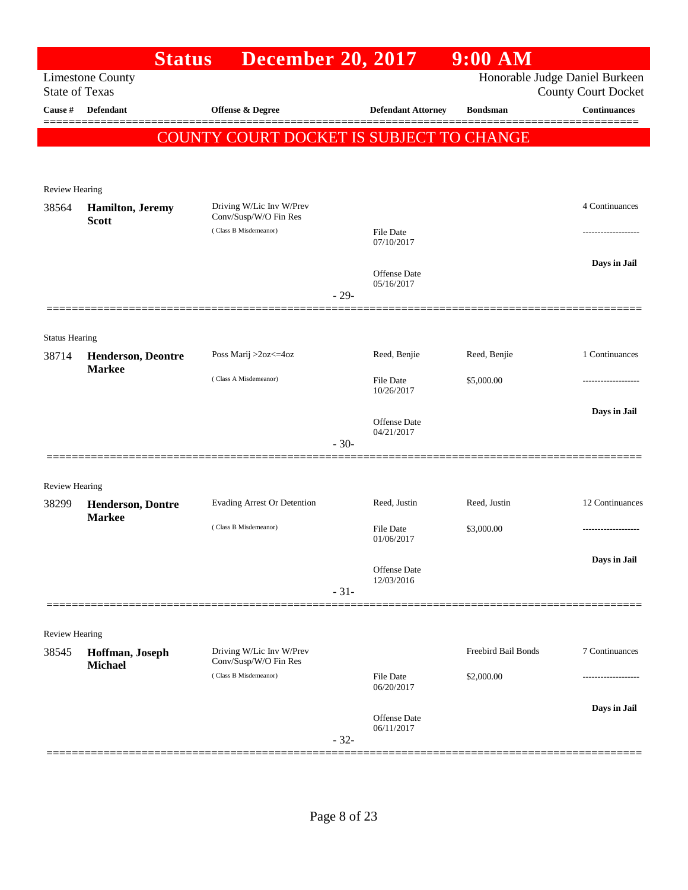|                                  | <b>Status</b>                              | <b>December 20, 2017</b>                          |                                   | 9:00 AM             |                                                   |
|----------------------------------|--------------------------------------------|---------------------------------------------------|-----------------------------------|---------------------|---------------------------------------------------|
|                                  | <b>Limestone County</b>                    |                                                   |                                   |                     | Honorable Judge Daniel Burkeen                    |
| <b>State of Texas</b><br>Cause # | Defendant                                  |                                                   |                                   | <b>Bondsman</b>     | <b>County Court Docket</b><br><b>Continuances</b> |
|                                  |                                            | <b>Offense &amp; Degree</b>                       | <b>Defendant Attorney</b>         |                     |                                                   |
|                                  |                                            | COUNTY COURT DOCKET IS SUBJECT TO CHANGE          |                                   |                     |                                                   |
|                                  |                                            |                                                   |                                   |                     |                                                   |
| Review Hearing                   |                                            |                                                   |                                   |                     |                                                   |
| 38564                            | <b>Hamilton</b> , Jeremy                   | Driving W/Lic Inv W/Prev                          |                                   |                     | 4 Continuances                                    |
|                                  | <b>Scott</b>                               | Conv/Susp/W/O Fin Res                             |                                   |                     |                                                   |
|                                  |                                            | (Class B Misdemeanor)                             | File Date<br>07/10/2017           |                     |                                                   |
|                                  |                                            |                                                   |                                   |                     | Days in Jail                                      |
|                                  |                                            |                                                   | <b>Offense Date</b><br>05/16/2017 |                     |                                                   |
|                                  |                                            |                                                   | $-29-$                            |                     |                                                   |
|                                  |                                            |                                                   |                                   |                     |                                                   |
| <b>Status Hearing</b>            |                                            |                                                   |                                   |                     |                                                   |
| 38714                            | <b>Henderson, Deontre</b><br><b>Markee</b> | Poss Marij >2oz<=4oz                              | Reed, Benjie                      | Reed, Benjie        | 1 Continuances                                    |
|                                  |                                            | (Class A Misdemeanor)                             | <b>File Date</b><br>10/26/2017    | \$5,000.00          |                                                   |
|                                  |                                            |                                                   |                                   |                     | Days in Jail                                      |
|                                  |                                            |                                                   | <b>Offense Date</b><br>04/21/2017 |                     |                                                   |
|                                  |                                            |                                                   | $-30-$                            |                     |                                                   |
|                                  |                                            |                                                   |                                   |                     |                                                   |
| <b>Review Hearing</b>            |                                            |                                                   |                                   |                     |                                                   |
| 38299                            | <b>Henderson, Dontre</b>                   | <b>Evading Arrest Or Detention</b>                | Reed, Justin                      | Reed, Justin        | 12 Continuances                                   |
|                                  | <b>Markee</b>                              | (Class B Misdemeanor)                             | <b>File Date</b>                  | \$3,000.00          |                                                   |
|                                  |                                            |                                                   | 01/06/2017                        |                     |                                                   |
|                                  |                                            |                                                   | Offense Date                      |                     | Days in Jail                                      |
|                                  |                                            |                                                   | 12/03/2016<br>$-31-$              |                     |                                                   |
|                                  |                                            |                                                   |                                   |                     |                                                   |
| <b>Review Hearing</b>            |                                            |                                                   |                                   |                     |                                                   |
| 38545                            | Hoffman, Joseph<br>Michael                 | Driving W/Lic Inv W/Prev<br>Conv/Susp/W/O Fin Res |                                   | Freebird Bail Bonds | 7 Continuances                                    |
|                                  |                                            | (Class B Misdemeanor)                             | <b>File Date</b><br>06/20/2017    | \$2,000.00          |                                                   |
|                                  |                                            |                                                   |                                   |                     |                                                   |
|                                  |                                            |                                                   | <b>Offense Date</b>               |                     | Days in Jail                                      |
|                                  |                                            |                                                   | 06/11/2017<br>$-32-$              |                     |                                                   |
|                                  |                                            |                                                   |                                   |                     |                                                   |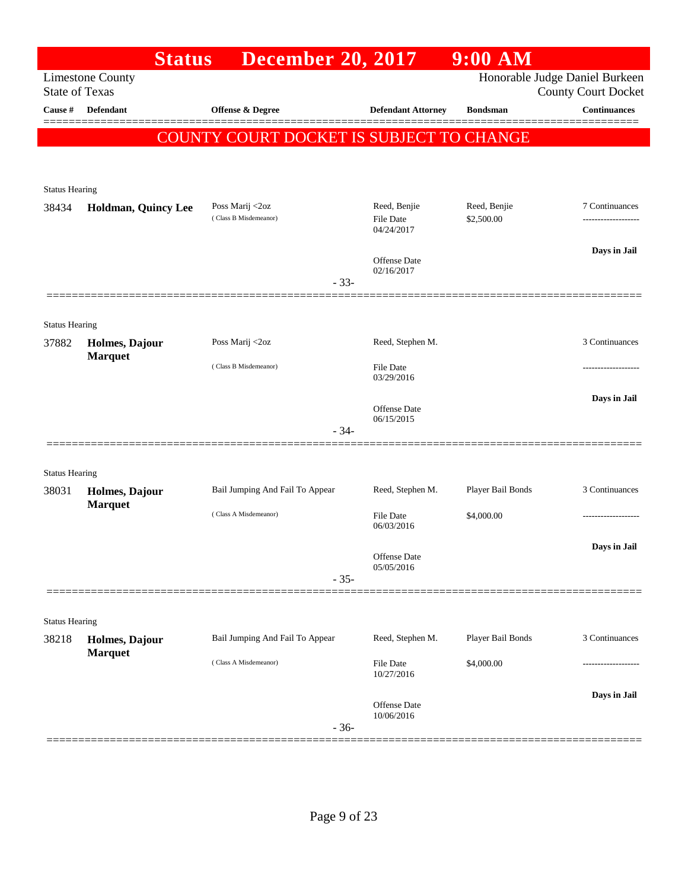|                       | <b>Status</b>                    | <b>December 20, 2017</b>                 |                                   | $9:00$ AM         |                                                              |
|-----------------------|----------------------------------|------------------------------------------|-----------------------------------|-------------------|--------------------------------------------------------------|
| <b>State of Texas</b> | <b>Limestone County</b>          |                                          |                                   |                   | Honorable Judge Daniel Burkeen<br><b>County Court Docket</b> |
| Cause #               | <b>Defendant</b>                 | <b>Offense &amp; Degree</b>              | <b>Defendant Attorney</b>         | <b>Bondsman</b>   | <b>Continuances</b>                                          |
|                       |                                  | COUNTY COURT DOCKET IS SUBJECT TO CHANGE |                                   |                   |                                                              |
|                       |                                  |                                          |                                   |                   |                                                              |
| <b>Status Hearing</b> |                                  |                                          |                                   |                   |                                                              |
| 38434                 | Holdman, Quincy Lee              | Poss Marij <2oz                          | Reed, Benjie                      | Reed, Benjie      | 7 Continuances                                               |
|                       |                                  | (Class B Misdemeanor)                    | <b>File Date</b><br>04/24/2017    | \$2,500.00        |                                                              |
|                       |                                  |                                          | <b>Offense Date</b>               |                   | Days in Jail                                                 |
|                       |                                  | $-33-$                                   | 02/16/2017                        |                   |                                                              |
|                       |                                  |                                          |                                   |                   |                                                              |
| <b>Status Hearing</b> |                                  |                                          |                                   |                   |                                                              |
| 37882                 | Holmes, Dajour                   | Poss Marij <2oz                          | Reed, Stephen M.                  |                   | 3 Continuances                                               |
|                       | <b>Marquet</b>                   | (Class B Misdemeanor)                    | <b>File Date</b><br>03/29/2016    |                   |                                                              |
|                       |                                  |                                          |                                   |                   | Days in Jail                                                 |
|                       |                                  |                                          | <b>Offense</b> Date<br>06/15/2015 |                   |                                                              |
|                       |                                  | $-34-$                                   |                                   |                   |                                                              |
| <b>Status Hearing</b> |                                  |                                          |                                   |                   |                                                              |
| 38031                 | Holmes, Dajour                   | Bail Jumping And Fail To Appear          | Reed, Stephen M.                  | Player Bail Bonds | 3 Continuances                                               |
|                       | <b>Marquet</b>                   | (Class A Misdemeanor)                    | <b>File Date</b>                  | \$4,000.00        |                                                              |
|                       |                                  |                                          | 06/03/2016                        |                   |                                                              |
|                       |                                  |                                          | Offense Date<br>05/05/2016        |                   | Days in Jail                                                 |
|                       |                                  | $-35-$                                   |                                   |                   |                                                              |
|                       |                                  |                                          |                                   |                   |                                                              |
| <b>Status Hearing</b> |                                  |                                          |                                   |                   |                                                              |
| 38218                 | Holmes, Dajour<br><b>Marquet</b> | Bail Jumping And Fail To Appear          | Reed, Stephen M.                  | Player Bail Bonds | 3 Continuances                                               |
|                       |                                  | (Class A Misdemeanor)                    | File Date<br>10/27/2016           | \$4,000.00        |                                                              |
|                       |                                  |                                          | Offense Date                      |                   | Days in Jail                                                 |
|                       |                                  | $-36-$                                   | 10/06/2016                        |                   |                                                              |
|                       |                                  |                                          |                                   |                   |                                                              |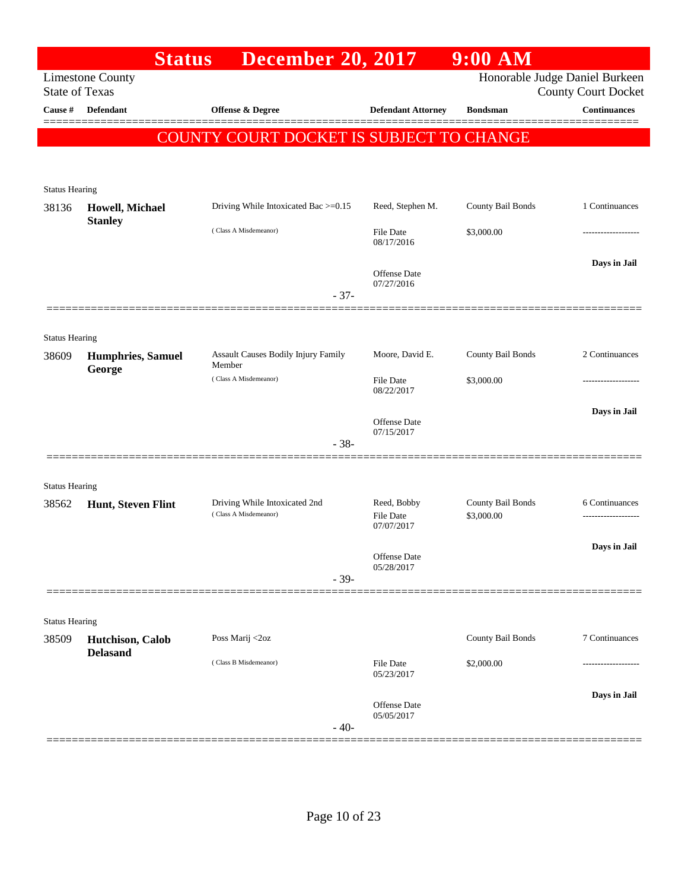|                                | <b>Status</b>                      | <b>December 20, 2017</b>                             |                                | $9:00$ AM         |                                                   |
|--------------------------------|------------------------------------|------------------------------------------------------|--------------------------------|-------------------|---------------------------------------------------|
| <b>State of Texas</b>          | <b>Limestone County</b>            |                                                      |                                |                   | Honorable Judge Daniel Burkeen                    |
| Cause #                        | <b>Defendant</b>                   | Offense & Degree                                     | <b>Defendant Attorney</b>      | <b>Bondsman</b>   | <b>County Court Docket</b><br><b>Continuances</b> |
|                                |                                    |                                                      |                                |                   |                                                   |
|                                |                                    | <b>COUNTY COURT DOCKET IS SUBJECT TO CHANGE</b>      |                                |                   |                                                   |
|                                |                                    |                                                      |                                |                   |                                                   |
| <b>Status Hearing</b>          |                                    |                                                      |                                |                   |                                                   |
| 38136                          | Howell, Michael                    | Driving While Intoxicated Bac >=0.15                 | Reed, Stephen M.               | County Bail Bonds | 1 Continuances                                    |
|                                | <b>Stanley</b>                     | (Class A Misdemeanor)                                | <b>File Date</b><br>08/17/2016 | \$3,000.00        |                                                   |
|                                |                                    |                                                      |                                |                   | Days in Jail                                      |
|                                |                                    |                                                      | Offense Date<br>07/27/2016     |                   |                                                   |
|                                |                                    | $-37-$                                               |                                |                   |                                                   |
|                                |                                    |                                                      |                                |                   |                                                   |
| <b>Status Hearing</b>          |                                    |                                                      |                                |                   |                                                   |
| 38609                          | <b>Humphries, Samuel</b><br>George | <b>Assault Causes Bodily Injury Family</b><br>Member | Moore, David E.                | County Bail Bonds | 2 Continuances                                    |
|                                |                                    | (Class A Misdemeanor)                                | File Date<br>08/22/2017        | \$3,000.00        |                                                   |
|                                |                                    |                                                      |                                |                   | Days in Jail                                      |
|                                |                                    |                                                      | Offense Date<br>07/15/2017     |                   |                                                   |
|                                |                                    | $-38-$                                               |                                |                   |                                                   |
|                                |                                    |                                                      |                                |                   |                                                   |
| <b>Status Hearing</b><br>38562 | Hunt, Steven Flint                 | Driving While Intoxicated 2nd                        | Reed, Bobby                    | County Bail Bonds | 6 Continuances                                    |
|                                |                                    | (Class A Misdemeanor)                                | <b>File Date</b><br>07/07/2017 | \$3,000.00        |                                                   |
|                                |                                    |                                                      | Offense Date                   |                   | Days in Jail                                      |
|                                |                                    | $-39-$                                               | 05/28/2017                     |                   |                                                   |
|                                |                                    |                                                      |                                |                   |                                                   |
| <b>Status Hearing</b>          |                                    |                                                      |                                |                   |                                                   |
| 38509                          | Hutchison, Calob                   | Poss Marij <2oz                                      |                                | County Bail Bonds | 7 Continuances                                    |
|                                | <b>Delasand</b>                    | (Class B Misdemeanor)                                | <b>File Date</b>               | \$2,000.00        |                                                   |
|                                |                                    |                                                      | 05/23/2017                     |                   |                                                   |
|                                |                                    |                                                      | <b>Offense Date</b>            |                   | Days in Jail                                      |
|                                |                                    | $-40-$                                               | 05/05/2017                     |                   |                                                   |
|                                |                                    |                                                      |                                |                   |                                                   |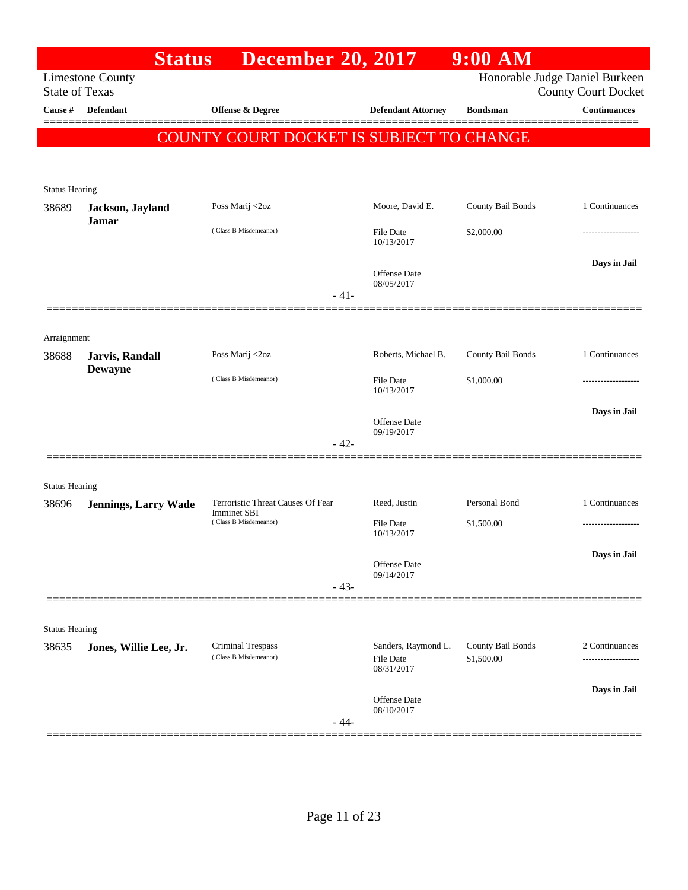| <b>State of Texas</b> | <b>Limestone County</b>     |                                                   |                                                | Honorable Judge Daniel Burkeen  |                            |
|-----------------------|-----------------------------|---------------------------------------------------|------------------------------------------------|---------------------------------|----------------------------|
|                       |                             |                                                   |                                                |                                 | <b>County Court Docket</b> |
| Cause #               | <b>Defendant</b>            | <b>Offense &amp; Degree</b>                       | <b>Defendant Attorney</b>                      | <b>Bondsman</b>                 | <b>Continuances</b>        |
|                       |                             |                                                   |                                                |                                 |                            |
|                       |                             | COUNTY COURT DOCKET IS SUBJECT TO CHANGE          |                                                |                                 |                            |
| <b>Status Hearing</b> |                             |                                                   |                                                |                                 |                            |
| 38689                 | Jackson, Jayland            | Poss Marij <2oz                                   | Moore, David E.                                | County Bail Bonds               | 1 Continuances             |
|                       | <b>Jamar</b>                | (Class B Misdemeanor)                             | File Date<br>10/13/2017                        | \$2,000.00                      |                            |
|                       |                             |                                                   | <b>Offense Date</b><br>08/05/2017              |                                 | Days in Jail               |
|                       |                             | $-41-$                                            |                                                |                                 |                            |
| Arraignment           |                             |                                                   |                                                |                                 |                            |
| 38688                 | Jarvis, Randall             | Poss Marij <2oz                                   | Roberts, Michael B.                            | County Bail Bonds               | 1 Continuances             |
|                       | <b>Dewayne</b>              | (Class B Misdemeanor)                             | <b>File Date</b><br>10/13/2017                 | \$1,000.00                      |                            |
|                       |                             |                                                   | <b>Offense Date</b><br>09/19/2017              |                                 | Days in Jail               |
|                       |                             | $-42-$                                            |                                                |                                 |                            |
| <b>Status Hearing</b> |                             |                                                   |                                                |                                 |                            |
| 38696                 | <b>Jennings, Larry Wade</b> | Terroristic Threat Causes Of Fear                 | Reed, Justin                                   | Personal Bond                   | 1 Continuances             |
|                       |                             | <b>Imminet SBI</b><br>(Class B Misdemeanor)       | <b>File Date</b><br>10/13/2017                 | \$1,500.00                      |                            |
|                       |                             |                                                   | Offense Date                                   |                                 | Days in Jail               |
|                       |                             | $-43-$                                            | 09/14/2017                                     |                                 |                            |
|                       |                             |                                                   |                                                |                                 |                            |
| <b>Status Hearing</b> |                             |                                                   |                                                |                                 |                            |
| 38635                 | Jones, Willie Lee, Jr.      | <b>Criminal Trespass</b><br>(Class B Misdemeanor) | Sanders, Raymond L.<br>File Date<br>08/31/2017 | County Bail Bonds<br>\$1,500.00 | 2 Continuances             |
|                       |                             |                                                   | Offense Date                                   |                                 | Days in Jail               |
|                       |                             | $-44-$                                            | 08/10/2017                                     |                                 |                            |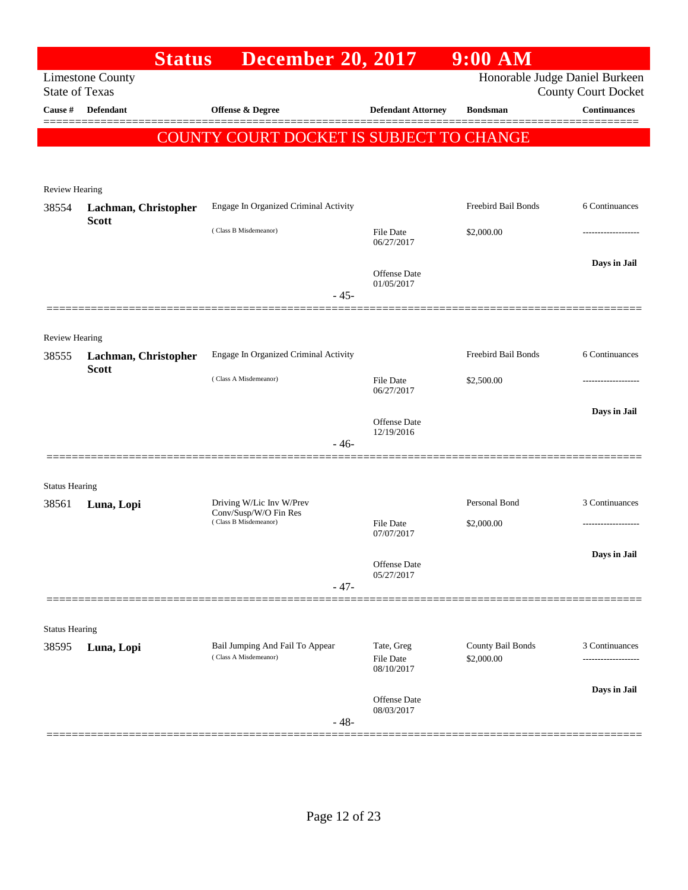|                                  | <b>Status</b>           | <b>December 20, 2017</b>                                 |                            | $9:00$ AM                       |                                                   |
|----------------------------------|-------------------------|----------------------------------------------------------|----------------------------|---------------------------------|---------------------------------------------------|
|                                  | <b>Limestone County</b> |                                                          |                            |                                 | Honorable Judge Daniel Burkeen                    |
| <b>State of Texas</b><br>Cause # | Defendant               | Offense & Degree                                         | <b>Defendant Attorney</b>  | <b>Bondsman</b>                 | <b>County Court Docket</b><br><b>Continuances</b> |
|                                  |                         |                                                          |                            |                                 |                                                   |
|                                  |                         | COUNTY COURT DOCKET IS SUBJECT TO CHANGE                 |                            |                                 |                                                   |
|                                  |                         |                                                          |                            |                                 |                                                   |
| <b>Review Hearing</b>            |                         |                                                          |                            |                                 |                                                   |
| 38554                            | Lachman, Christopher    | Engage In Organized Criminal Activity                    |                            | Freebird Bail Bonds             | 6 Continuances                                    |
|                                  | <b>Scott</b>            | (Class B Misdemeanor)                                    | File Date                  | \$2,000.00                      |                                                   |
|                                  |                         |                                                          | 06/27/2017                 |                                 |                                                   |
|                                  |                         |                                                          | Offense Date               |                                 | Days in Jail                                      |
|                                  |                         | $-45-$                                                   | 01/05/2017                 |                                 |                                                   |
|                                  |                         |                                                          |                            |                                 |                                                   |
| <b>Review Hearing</b>            |                         |                                                          |                            |                                 |                                                   |
| 38555                            | Lachman, Christopher    | Engage In Organized Criminal Activity                    |                            | Freebird Bail Bonds             | 6 Continuances                                    |
|                                  | <b>Scott</b>            | (Class A Misdemeanor)                                    | File Date                  | \$2,500.00                      |                                                   |
|                                  |                         |                                                          | 06/27/2017                 |                                 |                                                   |
|                                  |                         |                                                          | Offense Date               |                                 | Days in Jail                                      |
|                                  |                         | $-46-$                                                   | 12/19/2016                 |                                 |                                                   |
|                                  |                         |                                                          |                            |                                 |                                                   |
| <b>Status Hearing</b>            |                         |                                                          |                            |                                 |                                                   |
| 38561                            | Luna, Lopi              | Driving W/Lic Inv W/Prev<br>Conv/Susp/W/O Fin Res        |                            | Personal Bond                   | 3 Continuances                                    |
|                                  |                         | (Class B Misdemeanor)                                    | File Date<br>07/07/2017    | \$2,000.00                      |                                                   |
|                                  |                         |                                                          |                            |                                 | Days in Jail                                      |
|                                  |                         |                                                          | Offense Date<br>05/27/2017 |                                 |                                                   |
|                                  |                         | $-47-$                                                   |                            |                                 |                                                   |
|                                  |                         |                                                          |                            |                                 |                                                   |
| <b>Status Hearing</b>            |                         |                                                          |                            |                                 |                                                   |
| 38595                            | Luna, Lopi              | Bail Jumping And Fail To Appear<br>(Class A Misdemeanor) | Tate, Greg<br>File Date    | County Bail Bonds<br>\$2,000.00 | 3 Continuances                                    |
|                                  |                         |                                                          | 08/10/2017                 |                                 |                                                   |
|                                  |                         |                                                          | Offense Date               |                                 | Days in Jail                                      |
|                                  |                         | $-48-$                                                   | 08/03/2017                 |                                 |                                                   |
|                                  |                         |                                                          |                            |                                 |                                                   |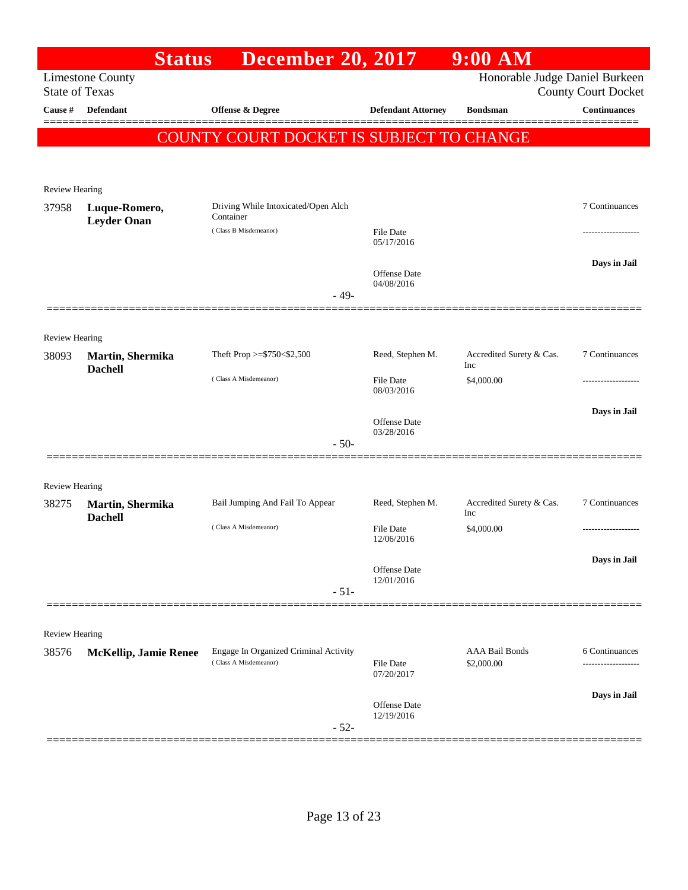|                                  | <b>Status</b>                      | <b>December 20, 2017</b>                                       |                            | $9:00$ AM                           |                                                   |
|----------------------------------|------------------------------------|----------------------------------------------------------------|----------------------------|-------------------------------------|---------------------------------------------------|
|                                  | <b>Limestone County</b>            |                                                                |                            | Honorable Judge Daniel Burkeen      |                                                   |
| <b>State of Texas</b><br>Cause # | <b>Defendant</b>                   | Offense & Degree                                               | <b>Defendant Attorney</b>  | <b>Bondsman</b>                     | <b>County Court Docket</b><br><b>Continuances</b> |
|                                  |                                    |                                                                |                            |                                     |                                                   |
|                                  |                                    | <b>COUNTY COURT DOCKET IS SUBJECT TO CHANGE</b>                |                            |                                     |                                                   |
|                                  |                                    |                                                                |                            |                                     |                                                   |
| <b>Review Hearing</b>            |                                    |                                                                |                            |                                     |                                                   |
| 37958                            | Luque-Romero,                      | Driving While Intoxicated/Open Alch<br>Container               |                            |                                     | 7 Continuances                                    |
|                                  | <b>Leyder Onan</b>                 | (Class B Misdemeanor)                                          | <b>File Date</b>           |                                     |                                                   |
|                                  |                                    |                                                                | 05/17/2016                 |                                     |                                                   |
|                                  |                                    |                                                                | Offense Date               |                                     | Days in Jail                                      |
|                                  |                                    | $-49-$                                                         | 04/08/2016                 |                                     |                                                   |
|                                  |                                    |                                                                |                            |                                     |                                                   |
| <b>Review Hearing</b>            |                                    |                                                                |                            |                                     |                                                   |
| 38093                            | Martin, Shermika                   | Theft Prop >=\$750<\$2,500                                     | Reed, Stephen M.           | Accredited Surety & Cas.<br>Inc     | 7 Continuances                                    |
|                                  | <b>Dachell</b>                     | (Class A Misdemeanor)                                          | <b>File Date</b>           | \$4,000.00                          |                                                   |
|                                  |                                    |                                                                | 08/03/2016                 |                                     |                                                   |
|                                  |                                    |                                                                | Offense Date               |                                     | Days in Jail                                      |
|                                  |                                    | $-50-$                                                         | 03/28/2016                 |                                     |                                                   |
|                                  |                                    |                                                                |                            |                                     |                                                   |
| <b>Review Hearing</b>            |                                    |                                                                |                            |                                     |                                                   |
| 38275                            | Martin, Shermika<br><b>Dachell</b> | Bail Jumping And Fail To Appear                                | Reed, Stephen M.           | Accredited Surety & Cas.<br>Inc     | 7 Continuances                                    |
|                                  |                                    | (Class A Misdemeanor)                                          | <b>File Date</b>           | \$4,000.00                          |                                                   |
|                                  |                                    |                                                                | 12/06/2016                 |                                     |                                                   |
|                                  |                                    |                                                                | Offense Date<br>12/01/2016 |                                     | Days in Jail                                      |
|                                  |                                    | $-51-$                                                         |                            |                                     |                                                   |
|                                  |                                    |                                                                |                            |                                     |                                                   |
| <b>Review Hearing</b>            |                                    |                                                                |                            |                                     |                                                   |
| 38576                            | <b>McKellip, Jamie Renee</b>       | Engage In Organized Criminal Activity<br>(Class A Misdemeanor) | <b>File Date</b>           | <b>AAA Bail Bonds</b><br>\$2,000.00 | 6 Continuances<br>-------------------             |
|                                  |                                    |                                                                | 07/20/2017                 |                                     |                                                   |
|                                  |                                    |                                                                | <b>Offense Date</b>        |                                     | Days in Jail                                      |
|                                  |                                    | $-52-$                                                         | 12/19/2016                 |                                     |                                                   |
|                                  |                                    |                                                                |                            |                                     |                                                   |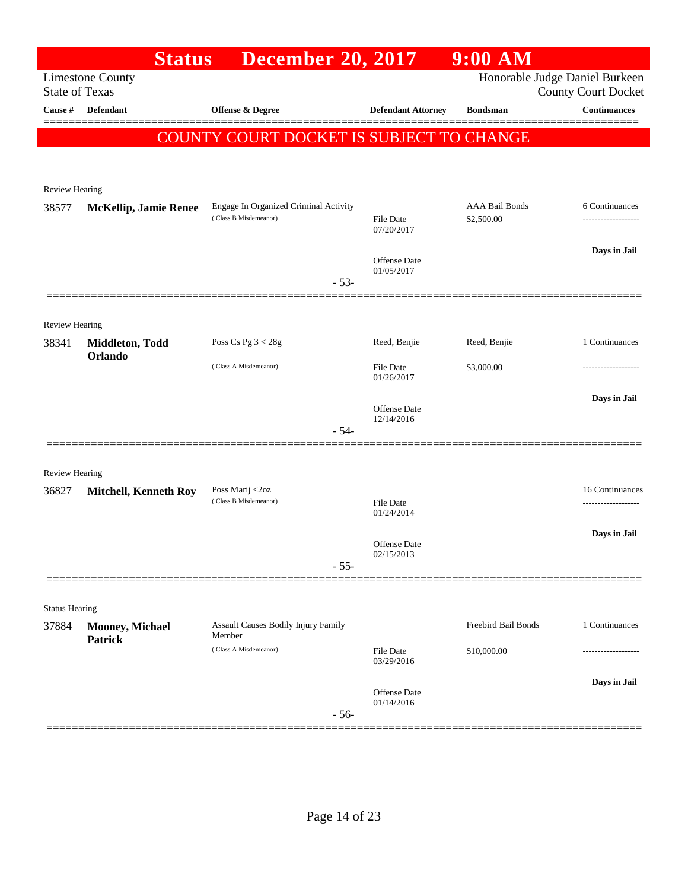|                                | <b>Status</b>                     | <b>December 20, 2017</b>                                       |                                   | $9:00$ AM                           |                                                              |
|--------------------------------|-----------------------------------|----------------------------------------------------------------|-----------------------------------|-------------------------------------|--------------------------------------------------------------|
| <b>State of Texas</b>          | <b>Limestone County</b>           |                                                                |                                   |                                     | Honorable Judge Daniel Burkeen<br><b>County Court Docket</b> |
| Cause #                        | <b>Defendant</b>                  | <b>Offense &amp; Degree</b>                                    | <b>Defendant Attorney</b>         | <b>Bondsman</b>                     | <b>Continuances</b>                                          |
|                                |                                   | COUNTY COURT DOCKET IS SUBJECT TO CHANGE                       |                                   |                                     |                                                              |
| Review Hearing                 |                                   |                                                                |                                   |                                     |                                                              |
| 38577                          | <b>McKellip, Jamie Renee</b>      | Engage In Organized Criminal Activity<br>(Class B Misdemeanor) | File Date<br>07/20/2017           | <b>AAA Bail Bonds</b><br>\$2,500.00 | 6 Continuances<br>------------------                         |
|                                |                                   | $-53-$                                                         | <b>Offense Date</b><br>01/05/2017 |                                     | Days in Jail                                                 |
|                                |                                   |                                                                |                                   |                                     |                                                              |
| Review Hearing                 |                                   |                                                                |                                   |                                     |                                                              |
| 38341                          | Middleton, Todd<br>Orlando        | Poss Cs Pg $3 < 28g$                                           | Reed, Benjie                      | Reed, Benjie                        | 1 Continuances                                               |
|                                |                                   | (Class A Misdemeanor)                                          | <b>File Date</b><br>01/26/2017    | \$3,000.00                          |                                                              |
|                                |                                   | $-54-$                                                         | <b>Offense Date</b><br>12/14/2016 |                                     | Days in Jail                                                 |
|                                |                                   |                                                                |                                   |                                     |                                                              |
| <b>Review Hearing</b><br>36827 | <b>Mitchell, Kenneth Roy</b>      | Poss Marij <2oz<br>(Class B Misdemeanor)                       | <b>File Date</b>                  |                                     | 16 Continuances                                              |
|                                |                                   |                                                                | 01/24/2014                        |                                     | .                                                            |
|                                |                                   |                                                                | <b>Offense Date</b><br>02/15/2013 |                                     | Days in Jail                                                 |
|                                |                                   | $-55-$                                                         |                                   |                                     |                                                              |
| <b>Status Hearing</b>          |                                   |                                                                |                                   |                                     |                                                              |
| 37884                          | Mooney, Michael<br><b>Patrick</b> | <b>Assault Causes Bodily Injury Family</b><br>Member           |                                   | Freebird Bail Bonds                 | 1 Continuances                                               |
|                                |                                   | (Class A Misdemeanor)                                          | <b>File Date</b><br>03/29/2016    | \$10,000.00                         |                                                              |
|                                |                                   | $-56-$                                                         | <b>Offense Date</b><br>01/14/2016 |                                     | Days in Jail                                                 |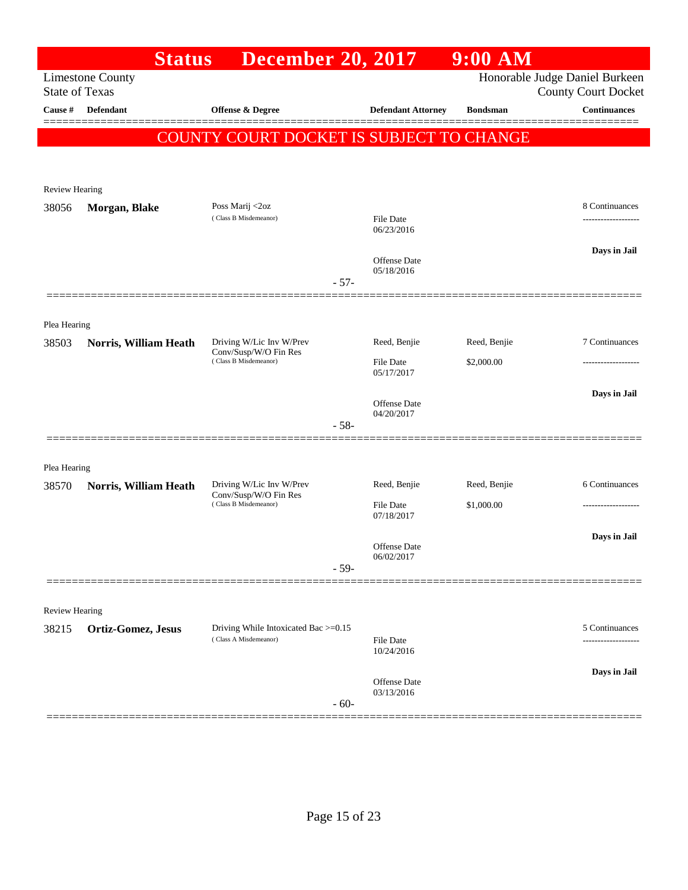|                       | <b>Status</b>           | <b>December 20, 2017</b>                          |                                | $9:00$ AM       |                                                              |
|-----------------------|-------------------------|---------------------------------------------------|--------------------------------|-----------------|--------------------------------------------------------------|
| <b>State of Texas</b> | <b>Limestone County</b> |                                                   |                                |                 | Honorable Judge Daniel Burkeen<br><b>County Court Docket</b> |
| Cause #               | <b>Defendant</b>        | <b>Offense &amp; Degree</b>                       | <b>Defendant Attorney</b>      | <b>Bondsman</b> | <b>Continuances</b>                                          |
|                       |                         | COUNTY COURT DOCKET IS SUBJECT TO CHANGE          |                                |                 |                                                              |
|                       |                         |                                                   |                                |                 |                                                              |
| <b>Review Hearing</b> |                         |                                                   |                                |                 |                                                              |
| 38056                 | Morgan, Blake           | Poss Marij <2oz<br>(Class B Misdemeanor)          |                                |                 | 8 Continuances                                               |
|                       |                         |                                                   | File Date<br>06/23/2016        |                 |                                                              |
|                       |                         |                                                   | Offense Date                   |                 | Days in Jail                                                 |
|                       |                         |                                                   | 05/18/2016<br>$-57-$           |                 |                                                              |
|                       |                         |                                                   |                                |                 |                                                              |
| Plea Hearing          |                         |                                                   |                                |                 |                                                              |
| 38503                 | Norris, William Heath   | Driving W/Lic Inv W/Prev<br>Conv/Susp/W/O Fin Res | Reed, Benjie                   | Reed, Benjie    | 7 Continuances                                               |
|                       |                         | (Class B Misdemeanor)                             | <b>File Date</b><br>05/17/2017 | \$2,000.00      |                                                              |
|                       |                         |                                                   |                                |                 | Days in Jail                                                 |
|                       |                         |                                                   | Offense Date<br>04/20/2017     |                 |                                                              |
|                       |                         |                                                   | $-58-$                         |                 |                                                              |
| Plea Hearing          |                         |                                                   |                                |                 |                                                              |
| 38570                 | Norris, William Heath   | Driving W/Lic Inv W/Prev                          | Reed, Benjie                   | Reed, Benjie    | 6 Continuances                                               |
|                       |                         | Conv/Susp/W/O Fin Res<br>(Class B Misdemeanor)    | File Date<br>07/18/2017        | \$1,000.00      | ------------------                                           |
|                       |                         |                                                   |                                |                 | Days in Jail                                                 |
|                       |                         |                                                   | Offense Date<br>06/02/2017     |                 |                                                              |
|                       |                         |                                                   | $-59-$                         |                 |                                                              |
| Review Hearing        |                         |                                                   |                                |                 |                                                              |
| 38215                 | Ortiz-Gomez, Jesus      | Driving While Intoxicated Bac >=0.15              |                                |                 | 5 Continuances                                               |
|                       |                         | (Class A Misdemeanor)                             | <b>File Date</b><br>10/24/2016 |                 |                                                              |
|                       |                         |                                                   |                                |                 | Days in Jail                                                 |
|                       |                         |                                                   | Offense Date<br>03/13/2016     |                 |                                                              |
|                       |                         |                                                   | $-60-$                         |                 |                                                              |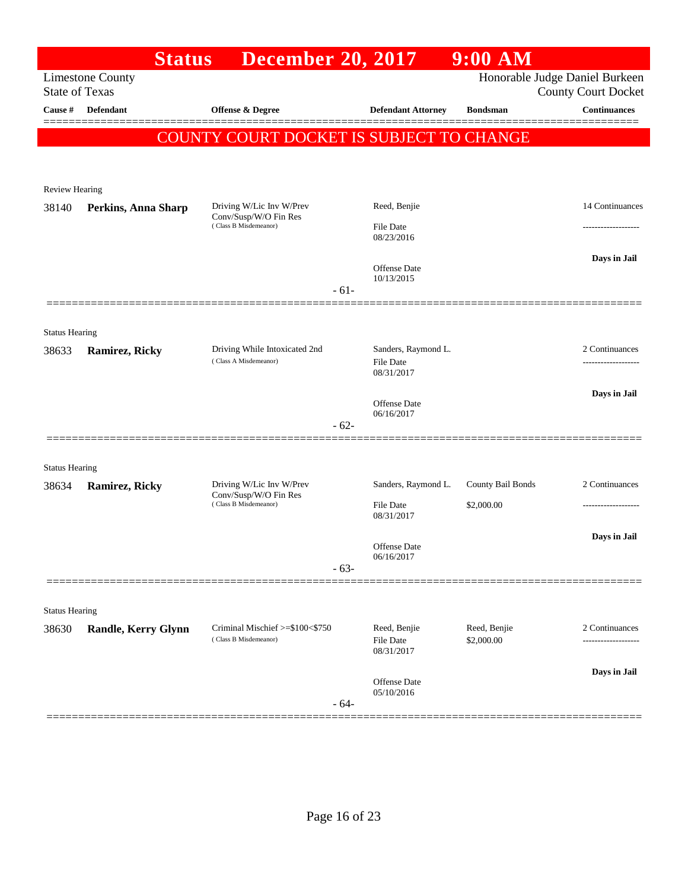|                                | <b>Status</b>           | <b>December 20, 2017</b>                                 |                                         | $9:00$ AM                  |                                                              |
|--------------------------------|-------------------------|----------------------------------------------------------|-----------------------------------------|----------------------------|--------------------------------------------------------------|
| <b>State of Texas</b>          | <b>Limestone County</b> |                                                          |                                         |                            | Honorable Judge Daniel Burkeen<br><b>County Court Docket</b> |
| Cause #                        | Defendant               | <b>Offense &amp; Degree</b>                              | <b>Defendant Attorney</b>               | <b>Bondsman</b>            | <b>Continuances</b>                                          |
|                                |                         | COUNTY COURT DOCKET IS SUBJECT TO CHANGE                 |                                         |                            |                                                              |
|                                |                         |                                                          |                                         |                            |                                                              |
| <b>Review Hearing</b>          |                         |                                                          |                                         |                            |                                                              |
| 38140                          | Perkins, Anna Sharp     | Driving W/Lic Inv W/Prev                                 | Reed, Benjie                            |                            | 14 Continuances                                              |
|                                |                         | Conv/Susp/W/O Fin Res<br>(Class B Misdemeanor)           | <b>File Date</b><br>08/23/2016          |                            |                                                              |
|                                |                         |                                                          | Offense Date<br>10/13/2015              |                            | Days in Jail                                                 |
|                                |                         | $-61-$                                                   |                                         |                            |                                                              |
|                                |                         |                                                          |                                         |                            |                                                              |
| <b>Status Hearing</b><br>38633 | <b>Ramirez, Ricky</b>   | Driving While Intoxicated 2nd                            | Sanders, Raymond L.                     |                            | 2 Continuances                                               |
|                                |                         | (Class A Misdemeanor)                                    | File Date<br>08/31/2017                 |                            |                                                              |
|                                |                         |                                                          | <b>Offense Date</b>                     |                            | Days in Jail                                                 |
|                                |                         | $-62-$                                                   | 06/16/2017                              |                            |                                                              |
|                                |                         |                                                          |                                         |                            |                                                              |
| <b>Status Hearing</b>          |                         |                                                          |                                         |                            |                                                              |
| 38634                          | <b>Ramirez, Ricky</b>   | Driving W/Lic Inv W/Prev<br>Conv/Susp/W/O Fin Res        | Sanders, Raymond L.                     | County Bail Bonds          | 2 Continuances                                               |
|                                |                         | (Class B Misdemeanor)                                    | <b>File Date</b><br>08/31/2017          | \$2,000.00                 | ------------------                                           |
|                                |                         |                                                          | Offense Date                            |                            | Days in Jail                                                 |
|                                |                         | $-63-$                                                   | 06/16/2017                              |                            |                                                              |
|                                |                         |                                                          |                                         |                            |                                                              |
| <b>Status Hearing</b>          |                         |                                                          |                                         |                            |                                                              |
| 38630                          | Randle, Kerry Glynn     | Criminal Mischief >=\$100<\$750<br>(Class B Misdemeanor) | Reed, Benjie<br>File Date<br>08/31/2017 | Reed, Benjie<br>\$2,000.00 | 2 Continuances                                               |
|                                |                         |                                                          |                                         |                            | Days in Jail                                                 |
|                                |                         | $-64-$                                                   | Offense Date<br>05/10/2016              |                            |                                                              |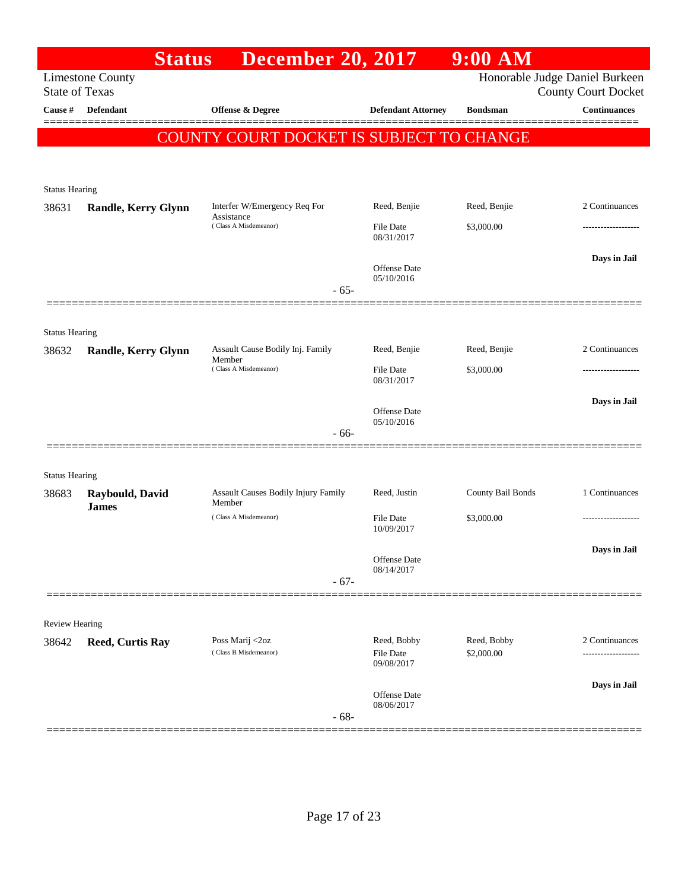|                                | <b>Status</b>                   | <b>December 20, 2017</b>                      |                                | 9:00 AM                   |                                                              |
|--------------------------------|---------------------------------|-----------------------------------------------|--------------------------------|---------------------------|--------------------------------------------------------------|
| <b>State of Texas</b>          | <b>Limestone County</b>         |                                               |                                |                           | Honorable Judge Daniel Burkeen<br><b>County Court Docket</b> |
| Cause #                        | Defendant                       | <b>Offense &amp; Degree</b>                   | <b>Defendant Attorney</b>      | <b>Bondsman</b>           | <b>Continuances</b><br>======                                |
|                                |                                 | COUNTY COURT DOCKET IS SUBJECT TO CHANGE      |                                |                           |                                                              |
|                                |                                 |                                               |                                |                           |                                                              |
| <b>Status Hearing</b>          |                                 |                                               |                                |                           |                                                              |
| 38631                          | <b>Randle, Kerry Glynn</b>      | Interfer W/Emergency Req For                  | Reed, Benjie                   | Reed, Benjie              | 2 Continuances                                               |
|                                |                                 | Assistance<br>(Class A Misdemeanor)           | <b>File Date</b><br>08/31/2017 | \$3,000.00                |                                                              |
|                                |                                 |                                               | Offense Date<br>05/10/2016     |                           | Days in Jail                                                 |
|                                |                                 | $-65-$                                        |                                |                           |                                                              |
| <b>Status Hearing</b>          |                                 |                                               |                                |                           |                                                              |
| 38632                          | <b>Randle, Kerry Glynn</b>      | Assault Cause Bodily Inj. Family              | Reed, Benjie                   | Reed, Benjie              | 2 Continuances                                               |
|                                |                                 | Member<br>(Class A Misdemeanor)               | <b>File Date</b><br>08/31/2017 | \$3,000.00                |                                                              |
|                                |                                 |                                               | Offense Date<br>05/10/2016     |                           | Days in Jail                                                 |
|                                |                                 | - 66-                                         |                                |                           |                                                              |
|                                |                                 |                                               |                                |                           |                                                              |
| <b>Status Hearing</b><br>38683 | Raybould, David<br><b>James</b> | Assault Causes Bodily Injury Family<br>Member | Reed, Justin                   | County Bail Bonds         | 1 Continuances                                               |
|                                |                                 | (Class A Misdemeanor)                         | <b>File Date</b><br>10/09/2017 | \$3,000.00                | ----------------                                             |
|                                |                                 |                                               | Offense Date<br>08/14/2017     |                           | Days in Jail                                                 |
|                                |                                 | $-67-$                                        |                                |                           |                                                              |
| <b>Review Hearing</b>          |                                 |                                               |                                |                           |                                                              |
| 38642                          | <b>Reed, Curtis Ray</b>         | Poss Marij <2oz<br>(Class B Misdemeanor)      | Reed, Bobby<br>File Date       | Reed, Bobby<br>\$2,000.00 | 2 Continuances                                               |
|                                |                                 |                                               | 09/08/2017                     |                           |                                                              |
|                                |                                 | $-68-$                                        | Offense Date<br>08/06/2017     |                           | Days in Jail                                                 |
|                                |                                 |                                               |                                |                           |                                                              |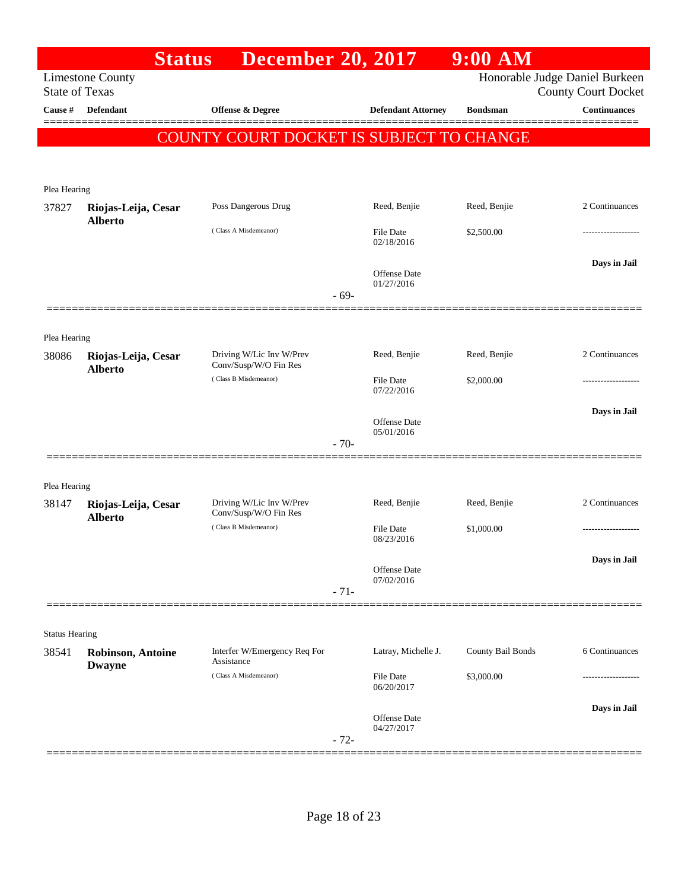|                       |                                           | <b>Status</b> | <b>December 20, 2017</b>                          |        |                                   | $9:00$ AM         |                                                              |
|-----------------------|-------------------------------------------|---------------|---------------------------------------------------|--------|-----------------------------------|-------------------|--------------------------------------------------------------|
| <b>State of Texas</b> | <b>Limestone County</b>                   |               |                                                   |        |                                   |                   | Honorable Judge Daniel Burkeen<br><b>County Court Docket</b> |
| Cause #               | <b>Defendant</b>                          |               | <b>Offense &amp; Degree</b>                       |        | <b>Defendant Attorney</b>         | <b>Bondsman</b>   | <b>Continuances</b>                                          |
|                       |                                           |               | COUNTY COURT DOCKET IS SUBJECT TO CHANGE          |        |                                   |                   |                                                              |
|                       |                                           |               |                                                   |        |                                   |                   |                                                              |
|                       |                                           |               |                                                   |        |                                   |                   |                                                              |
| Plea Hearing          |                                           |               |                                                   |        |                                   |                   |                                                              |
| 37827                 | Riojas-Leija, Cesar<br><b>Alberto</b>     |               | Poss Dangerous Drug                               |        | Reed, Benjie                      | Reed, Benjie      | 2 Continuances                                               |
|                       |                                           |               | (Class A Misdemeanor)                             |        | <b>File Date</b><br>02/18/2016    | \$2,500.00        | ------------------                                           |
|                       |                                           |               |                                                   |        |                                   |                   | Days in Jail                                                 |
|                       |                                           |               |                                                   |        | <b>Offense Date</b><br>01/27/2016 |                   |                                                              |
|                       |                                           |               |                                                   | $-69-$ |                                   |                   |                                                              |
|                       |                                           |               |                                                   |        |                                   |                   |                                                              |
| Plea Hearing          |                                           |               |                                                   |        |                                   |                   |                                                              |
| 38086                 | Riojas-Leija, Cesar                       |               | Driving W/Lic Inv W/Prev<br>Conv/Susp/W/O Fin Res |        | Reed, Benjie                      | Reed, Benjie      | 2 Continuances                                               |
|                       | <b>Alberto</b>                            |               | (Class B Misdemeanor)                             |        | <b>File Date</b>                  | \$2,000.00        | .                                                            |
|                       |                                           |               |                                                   |        | 07/22/2016                        |                   |                                                              |
|                       |                                           |               |                                                   |        | <b>Offense Date</b>               |                   | Days in Jail                                                 |
|                       |                                           |               |                                                   | $-70-$ | 05/01/2016                        |                   |                                                              |
|                       |                                           |               |                                                   |        |                                   |                   |                                                              |
| Plea Hearing          |                                           |               |                                                   |        |                                   |                   |                                                              |
| 38147                 | Riojas-Leija, Cesar                       |               | Driving W/Lic Inv W/Prev                          |        | Reed, Benjie                      | Reed, Benjie      | 2 Continuances                                               |
|                       | <b>Alberto</b>                            |               | Conv/Susp/W/O Fin Res<br>(Class B Misdemeanor)    |        | <b>File Date</b>                  | \$1,000.00        | .                                                            |
|                       |                                           |               |                                                   |        | 08/23/2016                        |                   |                                                              |
|                       |                                           |               |                                                   |        | <b>Offense Date</b>               |                   | Days in Jail                                                 |
|                       |                                           |               |                                                   | $-71-$ | 07/02/2016                        |                   |                                                              |
|                       |                                           |               |                                                   |        |                                   |                   |                                                              |
| <b>Status Hearing</b> |                                           |               |                                                   |        |                                   |                   |                                                              |
| 38541                 | <b>Robinson, Antoine</b><br><b>Dwayne</b> |               | Interfer W/Emergency Req For<br>Assistance        |        | Latray, Michelle J.               | County Bail Bonds | 6 Continuances                                               |
|                       |                                           |               | (Class A Misdemeanor)                             |        | File Date                         | \$3,000.00        |                                                              |
|                       |                                           |               |                                                   |        | 06/20/2017                        |                   |                                                              |
|                       |                                           |               |                                                   |        | Offense Date                      |                   | Days in Jail                                                 |
|                       |                                           |               |                                                   | $-72-$ | 04/27/2017                        |                   |                                                              |
|                       |                                           |               |                                                   |        |                                   |                   |                                                              |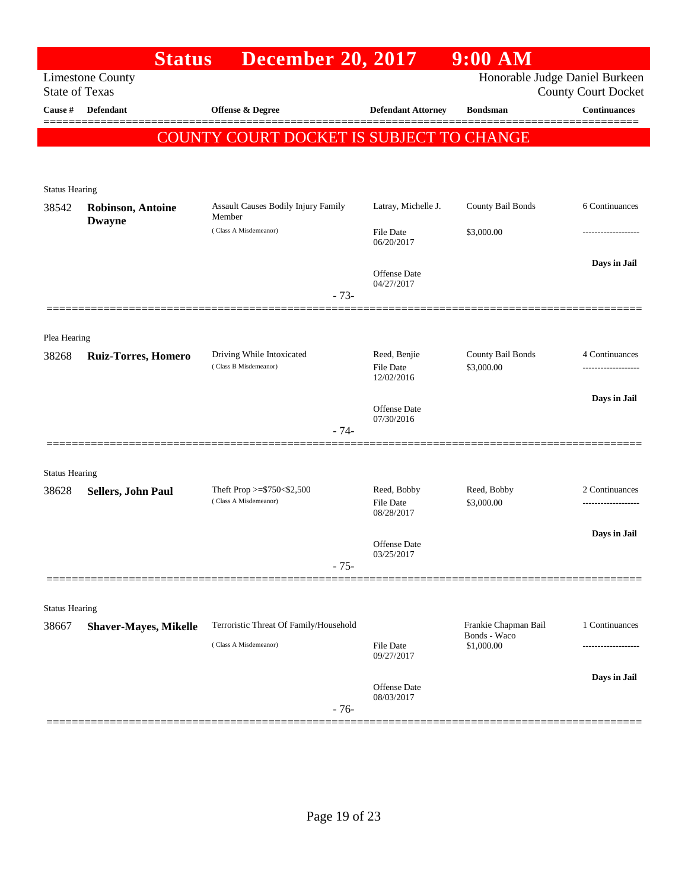|                       | <b>Status</b>                | <b>December 20, 2017</b>                                        |                                                 | $9:00$ AM                                          |                            |
|-----------------------|------------------------------|-----------------------------------------------------------------|-------------------------------------------------|----------------------------------------------------|----------------------------|
| <b>State of Texas</b> | <b>Limestone County</b>      |                                                                 |                                                 | Honorable Judge Daniel Burkeen                     | <b>County Court Docket</b> |
| Cause $\#$            | <b>Defendant</b>             | <b>Offense &amp; Degree</b>                                     | <b>Defendant Attorney</b>                       | <b>Bondsman</b>                                    | <b>Continuances</b>        |
|                       |                              | COUNTY COURT DOCKET IS SUBJECT TO CHANGE                        |                                                 |                                                    |                            |
| <b>Status Hearing</b> |                              |                                                                 |                                                 |                                                    |                            |
| 38542                 | <b>Robinson, Antoine</b>     | <b>Assault Causes Bodily Injury Family</b><br>Member            | Latray, Michelle J.                             | County Bail Bonds                                  | 6 Continuances             |
|                       | <b>Dwayne</b>                | (Class A Misdemeanor)                                           | <b>File Date</b><br>06/20/2017                  | \$3,000.00                                         | -----------------          |
|                       |                              | $-73-$                                                          | <b>Offense</b> Date<br>04/27/2017               |                                                    | Days in Jail               |
|                       |                              |                                                                 |                                                 |                                                    |                            |
| Plea Hearing<br>38268 | <b>Ruiz-Torres, Homero</b>   | Driving While Intoxicated<br>(Class B Misdemeanor)              | Reed, Benjie<br><b>File Date</b>                | County Bail Bonds<br>\$3,000.00                    | 4 Continuances             |
|                       |                              | $-74-$                                                          | 12/02/2016<br><b>Offense</b> Date<br>07/30/2016 |                                                    | Days in Jail               |
| <b>Status Hearing</b> |                              |                                                                 |                                                 |                                                    |                            |
| 38628                 | Sellers, John Paul           | Theft Prop $>=$ \$750 < \$2,500<br>(Class A Misdemeanor)        | Reed, Bobby<br>File Date<br>08/28/2017          | Reed, Bobby<br>\$3,000.00                          | 2 Continuances             |
|                       |                              | $-75-$                                                          | <b>Offense</b> Date<br>03/25/2017               |                                                    | Days in Jail               |
| <b>Status Hearing</b> |                              |                                                                 |                                                 |                                                    |                            |
| 38667                 | <b>Shaver-Mayes, Mikelle</b> | Terroristic Threat Of Family/Household<br>(Class A Misdemeanor) | <b>File Date</b>                                | Frankie Chapman Bail<br>Bonds - Waco<br>\$1,000.00 | 1 Continuances             |
|                       |                              |                                                                 | 09/27/2017                                      |                                                    |                            |
|                       |                              | $-76-$                                                          | Offense Date<br>08/03/2017                      |                                                    | Days in Jail               |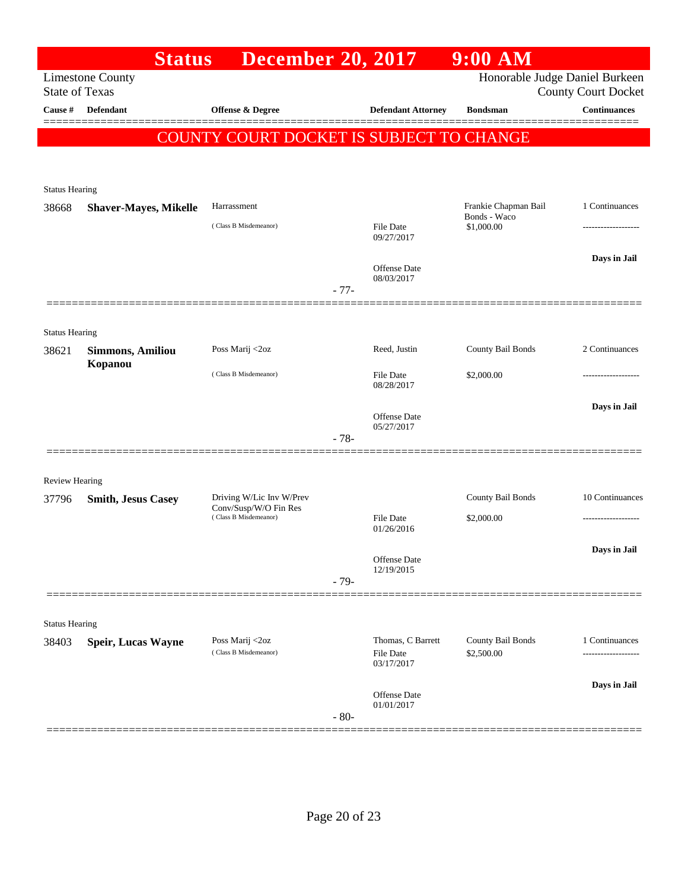|                       | <b>Status</b>                | <b>December 20, 2017</b>                          |        |                                              | $9:00$ AM                            |                            |
|-----------------------|------------------------------|---------------------------------------------------|--------|----------------------------------------------|--------------------------------------|----------------------------|
| <b>State of Texas</b> | <b>Limestone County</b>      |                                                   |        |                                              | Honorable Judge Daniel Burkeen       | <b>County Court Docket</b> |
| Cause #               | Defendant                    | <b>Offense &amp; Degree</b>                       |        | <b>Defendant Attorney</b>                    | <b>Bondsman</b>                      | <b>Continuances</b>        |
|                       |                              | COUNTY COURT DOCKET IS SUBJECT TO CHANGE          |        |                                              |                                      |                            |
| <b>Status Hearing</b> |                              |                                                   |        |                                              |                                      |                            |
| 38668                 | <b>Shaver-Mayes, Mikelle</b> | Harrassment                                       |        |                                              | Frankie Chapman Bail<br>Bonds - Waco | 1 Continuances             |
|                       |                              | (Class B Misdemeanor)                             |        | <b>File Date</b><br>09/27/2017               | \$1,000.00                           |                            |
|                       |                              |                                                   | $-77-$ | Offense Date<br>08/03/2017                   |                                      | Days in Jail               |
|                       |                              |                                                   |        |                                              |                                      |                            |
| <b>Status Hearing</b> |                              |                                                   |        |                                              |                                      |                            |
| 38621                 | <b>Simmons, Amiliou</b>      | Poss Marij <2oz                                   |        | Reed, Justin                                 | County Bail Bonds                    | 2 Continuances             |
|                       | Kopanou                      | (Class B Misdemeanor)                             |        | <b>File Date</b><br>08/28/2017               | \$2,000.00                           |                            |
|                       |                              |                                                   | $-78-$ | Offense Date<br>05/27/2017                   |                                      | Days in Jail               |
|                       |                              |                                                   |        |                                              |                                      |                            |
| <b>Review Hearing</b> |                              |                                                   |        |                                              |                                      |                            |
| 37796                 | <b>Smith, Jesus Casey</b>    | Driving W/Lic Inv W/Prev<br>Conv/Susp/W/O Fin Res |        |                                              | County Bail Bonds                    | 10 Continuances            |
|                       |                              | (Class B Misdemeanor)                             |        | <b>File Date</b><br>01/26/2016               | \$2,000.00                           |                            |
|                       |                              |                                                   | $-79-$ | Offense Date<br>12/19/2015                   |                                      | Days in Jail               |
|                       |                              |                                                   |        |                                              |                                      |                            |
| <b>Status Hearing</b> |                              |                                                   |        |                                              |                                      |                            |
| 38403                 | Speir, Lucas Wayne           | Poss Marij <2oz<br>(Class B Misdemeanor)          |        | Thomas, C Barrett<br>File Date<br>03/17/2017 | County Bail Bonds<br>\$2,500.00      | 1 Continuances             |
|                       |                              |                                                   | $-80-$ | Offense Date<br>01/01/2017                   |                                      | Days in Jail               |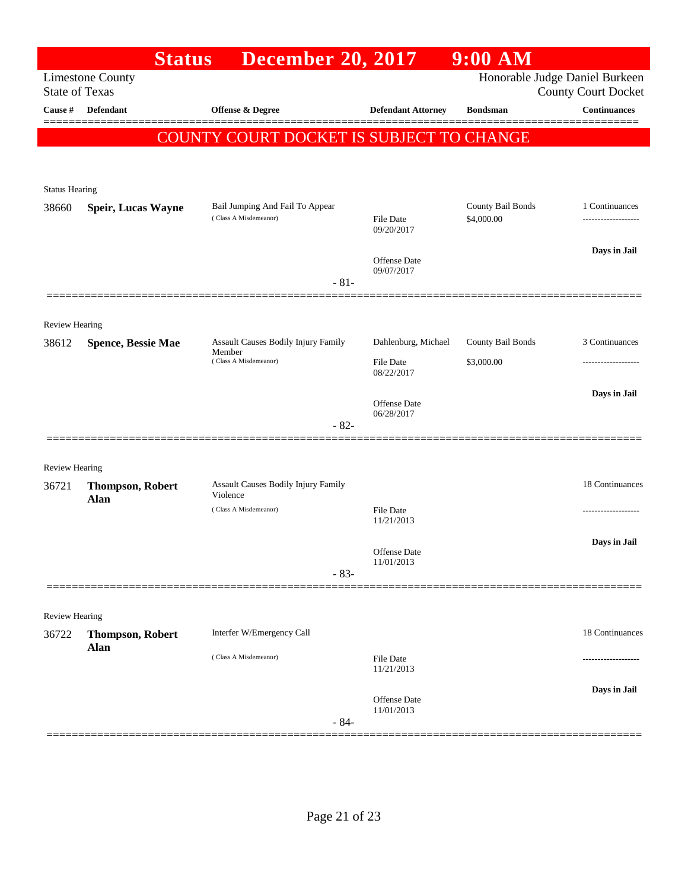|                       | <b>Status</b>                          | <b>December 20, 2017</b>                                               |                                   | $9:00$ AM                       |                                                              |
|-----------------------|----------------------------------------|------------------------------------------------------------------------|-----------------------------------|---------------------------------|--------------------------------------------------------------|
| <b>State of Texas</b> | <b>Limestone County</b>                |                                                                        |                                   |                                 | Honorable Judge Daniel Burkeen<br><b>County Court Docket</b> |
| Cause #               | Defendant                              | Offense & Degree                                                       | <b>Defendant Attorney</b>         | <b>Bondsman</b>                 | <b>Continuances</b><br>======                                |
|                       |                                        | COUNTY COURT DOCKET IS SUBJECT TO CHANGE                               |                                   |                                 |                                                              |
| <b>Status Hearing</b> |                                        |                                                                        |                                   |                                 |                                                              |
| 38660                 | <b>Speir, Lucas Wayne</b>              | Bail Jumping And Fail To Appear<br>(Class A Misdemeanor)               | <b>File Date</b><br>09/20/2017    | County Bail Bonds<br>\$4,000.00 | 1 Continuances<br>------------------                         |
|                       |                                        | $-81-$                                                                 | Offense Date<br>09/07/2017        |                                 | Days in Jail                                                 |
|                       |                                        |                                                                        |                                   |                                 |                                                              |
| Review Hearing        |                                        |                                                                        | Dahlenburg, Michael               | County Bail Bonds               | 3 Continuances                                               |
| 38612                 | <b>Spence, Bessie Mae</b>              | Assault Causes Bodily Injury Family<br>Member<br>(Class A Misdemeanor) | <b>File Date</b><br>08/22/2017    | \$3,000.00                      | -----------------                                            |
|                       |                                        | $-82-$                                                                 | <b>Offense Date</b><br>06/28/2017 |                                 | Days in Jail                                                 |
| <b>Review Hearing</b> |                                        |                                                                        |                                   |                                 |                                                              |
| 36721                 | <b>Thompson, Robert</b><br><b>Alan</b> | Assault Causes Bodily Injury Family<br>Violence                        |                                   |                                 | 18 Continuances                                              |
|                       |                                        | (Class A Misdemeanor)                                                  | <b>File Date</b><br>11/21/2013    |                                 | ------------------                                           |
|                       |                                        | $-83-$                                                                 | Offense Date<br>11/01/2013        |                                 | Days in Jail                                                 |
|                       |                                        |                                                                        |                                   |                                 |                                                              |
| Review Hearing        |                                        | Interfer W/Emergency Call                                              |                                   |                                 | 18 Continuances                                              |
| 36722                 | <b>Thompson, Robert</b><br>Alan        | (Class A Misdemeanor)                                                  | <b>File Date</b>                  |                                 | ----------------                                             |
|                       |                                        |                                                                        | 11/21/2013                        |                                 | Days in Jail                                                 |
|                       |                                        | $-84-$                                                                 | <b>Offense Date</b><br>11/01/2013 |                                 |                                                              |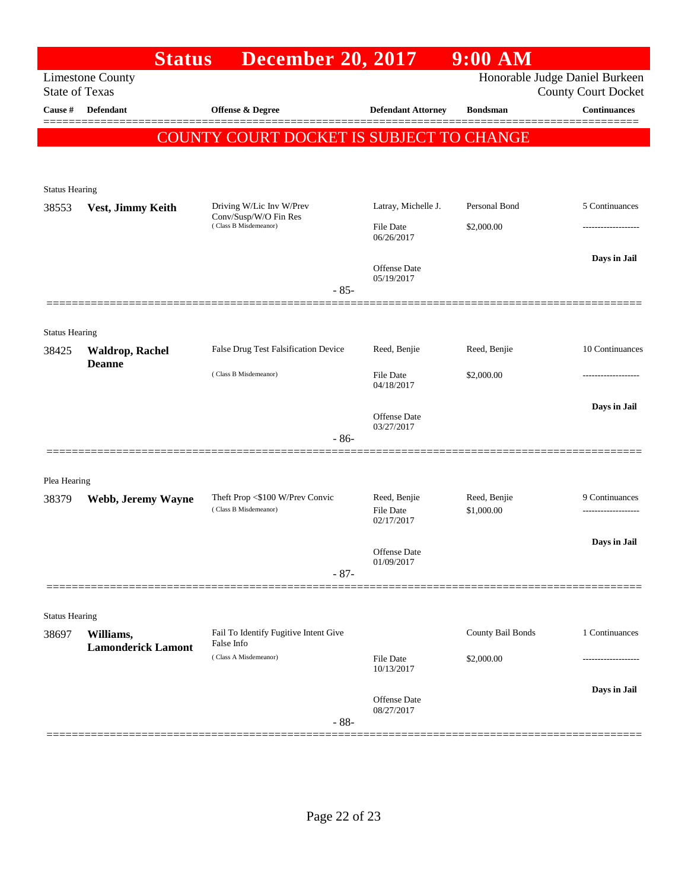|                       | <b>Status</b>                          | <b>December 20, 2017</b>                            |                                | $9:00$ AM         |                                                              |
|-----------------------|----------------------------------------|-----------------------------------------------------|--------------------------------|-------------------|--------------------------------------------------------------|
| <b>State of Texas</b> | <b>Limestone County</b>                |                                                     |                                |                   | Honorable Judge Daniel Burkeen<br><b>County Court Docket</b> |
| Cause #               | Defendant                              | <b>Offense &amp; Degree</b>                         | <b>Defendant Attorney</b>      | <b>Bondsman</b>   | <b>Continuances</b>                                          |
|                       |                                        | COUNTY COURT DOCKET IS SUBJECT TO CHANGE            |                                |                   |                                                              |
|                       |                                        |                                                     |                                |                   |                                                              |
| <b>Status Hearing</b> |                                        |                                                     |                                |                   |                                                              |
| 38553                 | Vest, Jimmy Keith                      | Driving W/Lic Inv W/Prev<br>Conv/Susp/W/O Fin Res   | Latray, Michelle J.            | Personal Bond     | 5 Continuances                                               |
|                       |                                        | (Class B Misdemeanor)                               | <b>File Date</b><br>06/26/2017 | \$2,000.00        |                                                              |
|                       |                                        |                                                     | Offense Date<br>05/19/2017     |                   | Days in Jail                                                 |
|                       |                                        | $-85-$                                              |                                |                   |                                                              |
| <b>Status Hearing</b> |                                        |                                                     |                                |                   |                                                              |
| 38425                 | <b>Waldrop, Rachel</b>                 | False Drug Test Falsification Device                | Reed, Benjie                   | Reed, Benjie      | 10 Continuances                                              |
|                       | <b>Deanne</b>                          | (Class B Misdemeanor)                               | <b>File Date</b><br>04/18/2017 | \$2,000.00        |                                                              |
|                       |                                        |                                                     | Offense Date<br>03/27/2017     |                   | Days in Jail                                                 |
|                       |                                        | $-86-$                                              |                                |                   |                                                              |
|                       |                                        |                                                     |                                |                   |                                                              |
| Plea Hearing<br>38379 | Webb, Jeremy Wayne                     | Theft Prop <\$100 W/Prev Convic                     | Reed, Benjie                   | Reed, Benjie      | 9 Continuances                                               |
|                       |                                        | (Class B Misdemeanor)                               | File Date<br>02/17/2017        | \$1,000.00        |                                                              |
|                       |                                        |                                                     | Offense Date                   |                   | Days in Jail                                                 |
|                       |                                        | $-87-$                                              | 01/09/2017                     |                   |                                                              |
|                       |                                        |                                                     |                                |                   |                                                              |
| <b>Status Hearing</b> |                                        |                                                     |                                |                   |                                                              |
| 38697                 | Williams,<br><b>Lamonderick Lamont</b> | Fail To Identify Fugitive Intent Give<br>False Info |                                | County Bail Bonds | 1 Continuances                                               |
|                       |                                        | (Class A Misdemeanor)                               | <b>File Date</b><br>10/13/2017 | \$2,000.00        |                                                              |
|                       |                                        |                                                     | Offense Date                   |                   | Days in Jail                                                 |
|                       | ===================                    | $-88-$                                              | 08/27/2017                     |                   |                                                              |